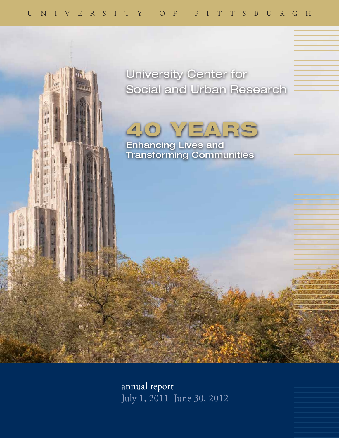



Enhancing Lives and Transforming Communities

 $\mathbf{r}$ 

III

annual report July 1, 2011–June 30, 2012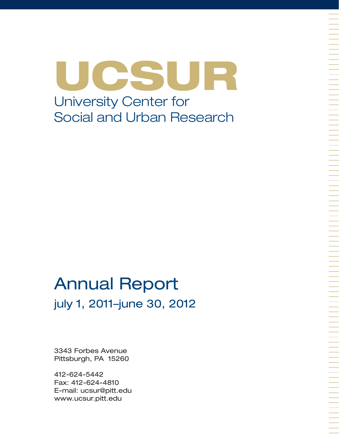UCSUR University Center for Social and Urban Research

# Annual Report july 1, 2011–june 30, 2012

3343 Forbes Avenue Pittsburgh, PA 15260

412-624-5442 Fax: 412-624-4810 E-mail: ucsur@pitt.edu www.ucsur.pitt.edu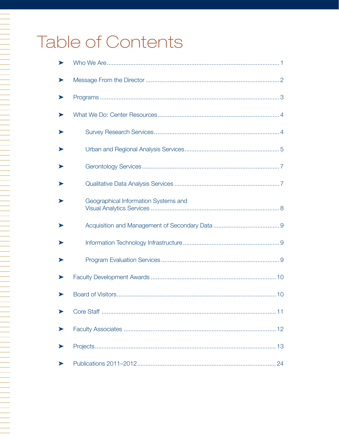# Table of Contents

N 1999 - PARTIE DE LA PRODUCTION DE LA PRODUCTION DE LA PRODUCTION DE LA PRODUCTION DE LA PRODUCTION DE LA PRO

| ➤ |                                      |
|---|--------------------------------------|
|   |                                      |
|   |                                      |
|   |                                      |
|   |                                      |
|   |                                      |
|   |                                      |
|   | Geographical Information Systems and |
|   |                                      |
|   |                                      |
|   |                                      |
|   |                                      |
|   |                                      |
|   |                                      |
| ▶ |                                      |
|   |                                      |
|   |                                      |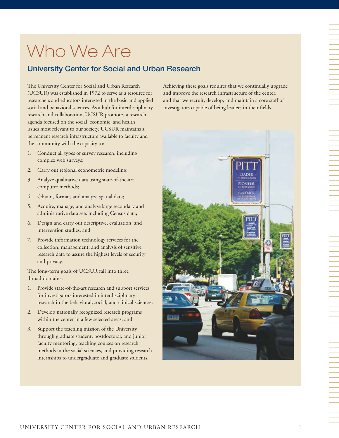# Who We Are

## University Center for Social and Urban Research

The University Center for Social and Urban Research (UCSUR) was established in 1972 to serve as a resource for researchers and educators interested in the basic and applied social and behavioral sciences. As a hub for interdisciplinary research and collaboration, UCSUR promotes a research agenda focused on the social, economic, and health issues most relevant to our society. UCSUR maintains a permanent research infrastructure available to faculty and the community with the capacity to:

- 1. Conduct all types of survey research, including complex web surveys;
- 2. Carry out regional econometric modeling;
- 3. Analyze qualitative data using state-of-the-art computer methods;
- 4. Obtain, format, and analyze spatial data;
- 5. Acquire, manage, and analyze large secondary and administrative data sets including Census data;
- 6. Design and carry out descriptive, evaluation, and intervention studies; and
- 7. Provide information technology services for the collection, management, and analysis of sensitive research data to assure the highest levels of security and privacy.

The long-term goals of UCSUR fall into three broad domains:

- 1. Provide state-of-the-art research and support services for investigators interested in interdisciplinary research in the behavioral, social, and clinical sciences;
- 2. Develop nationally recognized research programs within the center in a few selected areas; and
- 3. Support the teaching mission of the University through graduate student, postdoctoral, and junior faculty mentoring, teaching courses on research methods in the social sciences, and providing research internships to undergraduate and graduate students.

Achieving these goals requires that we continually upgrade and improve the research infrastructure of the center, and that we recruit, develop, and maintain a core staff of investigators capable of being leaders in their fields.

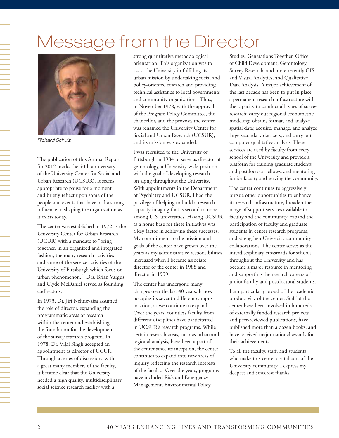# Message from the Director



*Richard Schulz*

The publication of this Annual Report for 2012 marks the 40th anniversary of the University Center for Social and Urban Research (UCSUR). It seems appropriate to pause for a moment and briefly reflect upon some of the people and events that have had a strong influence in shaping the organization as it exists today.

The center was established in 1972 as the University Center for Urban Research (UCUR) with a mandate to "bring together, in an organized and integrated fashion, the many research activities and some of the service activities of the University of Pittsburgh which focus on urban phenomenon." Drs. Brian Vargus and Clyde McDaniel served as founding codirectors.

In 1973, Dr. Jiri Nehnevajsa assumed the role of director, expanding the programmatic areas of research within the center and establishing the foundation for the development of the survey research program. In 1978, Dr. Vijai Singh accepted an appointment as director of UCUR. Through a series of discussions with a great many members of the faculty, it became clear that the University needed a high quality, multidisciplinary social science research facility with a

strong quantitative methodological orientation. This organization was to assist the University in fulfilling its urban mission by undertaking social and policy-oriented research and providing technical assistance to local governments and community organizations. Thus, in November 1978, with the approval of the Program Policy Committee, the chancellor, and the provost, the center was renamed the University Center for Social and Urban Research (UCSUR), and its mission was expanded.

I was recruited to the University of Pittsburgh in 1984 to serve as director of gerontology, a University-wide position with the goal of developing research on aging throughout the University. With appointments in the Department of Psychiatry and UCSUR, I had the privilege of helping to build a research capacity in aging that is second to none among U.S. universities. Having UCSUR as a home base for these initiatives was a key factor in achieving these successes. My commitment to the mission and goals of the center have grown over the years as my administrative responsibilities increased when I became associate director of the center in 1988 and director in 1999.

The center has undergone many changes over the last 40 years. It now occupies its seventh different campus location, as we continue to expand. Over the years, countless faculty from different disciplines have participated in UCSUR's research programs. While certain research areas, such as urban and regional analysis, have been a part of the center since its inception, the center continues to expand into new areas of inquiry reflecting the research interests of the faculty. Over the years, programs have included Risk and Emergency Management, Environmental Policy

Studies, Generations Together, Office of Child Development, Gerontology, Survey Research, and more recently GIS and Visual Analytics, and Qualitative Data Analysis. A major achievement of the last decade has been to put in place a permanent research infrastructure with the capacity to conduct all types of survey research; carry out regional econometric modeling; obtain, format, and analyze spatial data; acquire, manage, and analyze large secondary data sets; and carry out computer qualitative analysis. These services are used by faculty from every school of the University and provide a platform for training graduate students and postdoctoral fellows, and mentoring junior faculty and serving the community.

The center continues to aggressively pursue other opportunities to enhance its research infrastructure, broaden the range of support services available to faculty and the community, expand the participation of faculty and graduate students in center research programs, and strengthen University-community collaborations. The center serves as the interdisciplinary crossroads for schools throughout the University and has become a major resource in mentoring and supporting the research careers of junior faculty and postdoctoral students.

I am particularly proud of the academic productivity of the center. Staff of the center have been involved in hundreds of externally funded research projects and peer-reviewed publications, have published more than a dozen books, and have received major national awards for their achievements.

To all the faculty, staff, and students who make this center a vital part of the University community, I express my deepest and sincerest thanks.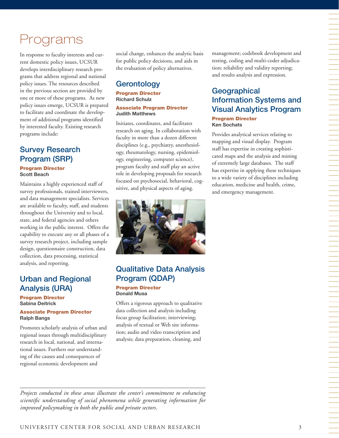## Programs

In response to faculty interests and current domestic policy issues, UCSUR develops interdisciplinary research programs that address regional and national policy issues. The resources described in the previous section are provided by one or more of these programs. As new policy issues emerge, UCSUR is prepared to facilitate and coordinate the development of additional programs identified by interested faculty. Existing research programs include:

## Survey Research Program (SRP)

Program Director **Scott Beach**

Maintains a highly experienced staff of survey professionals, trained interviewers, and data management specialists. Services are available to faculty, staff, and students throughout the University and to local, state, and federal agencies and others working in the public interest. Offers the capability to execute any or all phases of a survey research project, including sample design, questionnaire construction, data collection, data processing, statistical analysis, and reporting.

## Urban and Regional Analysis (URA)

Program Director **Sabina Deitrick**

#### Associate Program Director **Ralph Bangs**

Promotes scholarly analysis of urban and regional issues through multidisciplinary research in local, national, and international issues. Furthers our understanding of the causes and consequences of regional economic development and

social change, enhances the analytic basis for public policy decisions, and aids in the evaluation of policy alternatives.

## **Gerontology**

## Program Director **Richard Schulz**

Associate Program Director **Judith Matthews**

Initiates, coordinates, and facilitates research on aging. In collaboration with faculty in more than a dozen different disciplines (e.g., psychiatry, anesthesiology, rheumatology, nursing, epidemiology, engineering, computer science), program faculty and staff play an active role in developing proposals for research focused on psychosocial, behavioral, cognitive, and physical aspects of aging.



## Qualitative Data Analysis Program (QDAP) Program Director

## **Donald Musa**

Offers a rigorous approach to qualitative data collection and analysis including focus group facilitation; interviewing; analysis of textual or Web site information; audio and video transcription and analysis; data preparation, cleaning, and

management; codebook development and testing, coding and multi-coder adjudication; reliability and validity reporting; and results analysis and expression.

## **Geographical** Information Systems and Visual Analytics Program

#### Program Director **Ken Sochats**

Provides analytical services relating to mapping and visual display. Program staff has expertise in creating sophisticated maps and the analysis and mining of extremely large databases. The staff has expertise in applying these techniques to a wide variety of disciplines including education, medicine and health, crime, and emergency management.

*Projects conducted in these areas illustrate the center's commitment to enhancing scientific understanding of social phenomena while generating information for improved policymaking in both the public and private sectors.*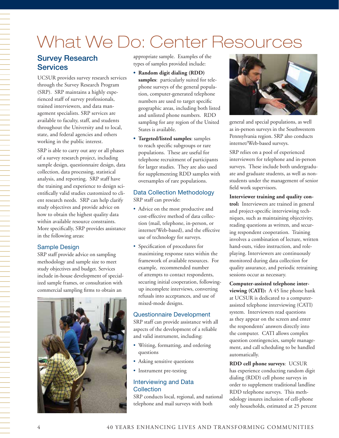# What We Do: Center Resources

## Survey Research **Services**

UCSUR provides survey research services through the Survey Research Program (SRP). SRP maintains a highly experienced staff of survey professionals, trained interviewers, and data management specialists. SRP services are available to faculty, staff, and students throughout the University and to local, state, and federal agencies and others working in the public interest.

SRP is able to carry out any or all phases of a survey research project, including sample design, questionnaire design, data collection, data processing, statistical analysis, and reporting. SRP staff have the training and experience to design scientifically valid studies customized to client research needs. SRP can help clarify study objectives and provide advice on how to obtain the highest quality data within available resource constraints. More specifically, SRP provides assistance in the following areas:

## Sample Design

SRP staff provide advice on sampling methodology and sample size to meet study objectives and budget. Services include in-house development of specialized sample frames, or consultation with commercial sampling firms to obtain an



appropriate sample. Examples of the types of samples provided include:

- **• Random digit dialing (RDD) samples**: particularly suited for telephone surveys of the general population, computer-generated telephone numbers are used to target specific geographic areas, including both listed and unlisted phone numbers. RDD sampling for any region of the United States is available.
- **• Targeted/listed samples**: samples to reach specific subgroups or rare populations. These are useful for telephone recruitment of participants for larger studies. They are also used for supplementing RDD samples with oversamples of rare populations.

## Data Collection Methodology

SRP staff can provide:

- • Advice on the most productive and cost-effective method of data collection (mail, telephone, in-person, or internet/Web-based), and the effective use of technology for surveys.
- • Specification of procedures for maximizing response rates within the framework of available resources. For example, recommended number of attempts to contact respondents, securing initial cooperation, followingup incomplete interviews, converting refusals into acceptances, and use of mixed-mode designs.

## Questionnaire Development

SRP staff can provide assistance with all aspects of the development of a reliable and valid instrument, including:

- • Writing, formatting, and ordering questions
- Asking sensitive questions
- • Instrument pre-testing

## Interviewing and Data **Collection**

SRP conducts local, regional, and national telephone and mail surveys with both



general and special populations, as well as in-person surveys in the Southwestern Pennsylvania region. SRP also conducts internet/Web-based surveys.

SRP relies on a pool of experienced interviewers for telephone and in-person surveys. These include both undergraduate and graduate students, as well as nonstudents under the management of senior field work supervisors.

**Interviewer training and quality control:** Interviewers are trained in general and project-specific interviewing techniques, such as maintaining objectivity, reading questions as written, and securing respondent cooperation. Training involves a combination of lecture, written hand-outs, video instruction, and roleplaying. Interviewers are continuously monitored during data collection for quality assurance, and periodic retraining sessions occur as necessary.

**Computer-assisted telephone interviewing (CATI):** A 45 line phone bank at UCSUR is dedicated to a computerassisted telephone interviewing (CATI) system. Interviewers read questions as they appear on the screen and enter the respondents' answers directly into the computer. CATI allows complex question contingencies, sample management, and call scheduling to be handled automatically.

**RDD cell phone surveys**: UCSUR has experience conducting random digit dialing (RDD) cell phone surveys in order to supplement traditional landline RDD telephone surveys. This methodology insures inclusion of cell-phone only households, estimated at 25 percent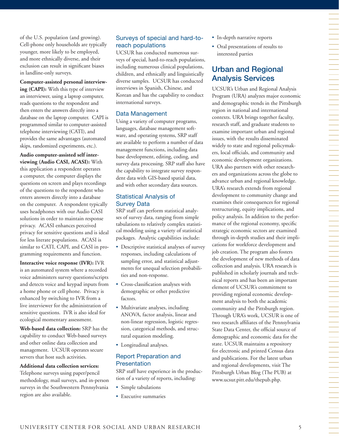of the U.S. population (and growing). Cell-phone only households are typically younger, more likely to be employed, and more ethnically diverse, and their exclusion can result in significant biases in landline-only surveys.

**Computer-assisted personal interview-**

**ing (CAPI):** With this type of interview an interviewer, using a laptop computer, reads questions to the respondent and then enters the answers directly into a database on the laptop computer. CAPI is programmed similar to computer-assisted telephone interviewing (CATI), and provides the same advantages (automated skips, randomized experiments, etc.).

**Audio computer-assisted self interviewing (Audio CASI, ACASI):** With this application a respondent operates a computer, the computer displays the questions on screen and plays recordings of the questions to the respondent who enters answers directly into a database on the computer. A respondent typically uses headphones with our Audio CASI solutions in order to maintain response privacy. ACASI enhances perceived privacy for sensitive questions and is ideal for less literate populations. ACASI is similar to CATI, CAPI, and CASI in programming requirements and function.

**Interactive voice response (IVR):** IVR is an automated system where a recorded voice administers survey questions/scripts and detects voice and keypad inputs from a home phone or cell phone. Privacy is enhanced by switching to IVR from a live interviewer for the administration of sensitive questions. IVR is also ideal for ecological momentary assessment.

**Web-based data collection:** SRP has the capability to conduct Web-based surveys and other online data collection and management. UCSUR operates secure servers that host such activities.

#### **Additional data collection services:**

Telephone surveys using paper/pencil methodology, mail surveys, and in-person surveys in the Southwestern Pennsylvania region are also available.

## Surveys of special and hard-toreach populations

UCSUR has conducted numerous surveys of special, hard-to-reach populations, including numerous clinical populations, children, and ethnically and linguistically diverse samples. UCSUR has conducted interviews in Spanish, Chinese, and Korean and has the capability to conduct international surveys.

## Data Management

Using a variety of computer programs, languages, database management software, and operating systems, SRP staff are available to perform a number of data management functions, including data base development, editing, coding, and survey data processing. SRP staff also have the capability to integrate survey respondent data with GIS-based spatial data, and with other secondary data sources.

## Statistical Analysis of Survey Data

SRP staff can perform statistical analyses of survey data, ranging from simple tabulations to relatively complex statistical modeling using a variety of statistical packages. Analytic capabilities include:

- • Descriptive statistical analyses of survey responses, including calculations of sampling error, and statistical adjustments for unequal selection probabilities and non-response.
- • Cross-classification analyses with demographic or other predictive factors.
- Multivariate analyses, including ANOVA, factor analysis, linear and non-linear regression, logistic regression, categorical methods, and structural equation modeling.
- • Longitudinal analyses.

## Report Preparation and Presentation

SRP staff have experience in the production of a variety of reports, including:

- Simple tabulations
- • Executive summaries
- In-depth narrative reports
- • Oral presentations of results to interested parties

## Urban and Regional Analysis Services

UCSUR's Urban and Regional Analysis Program (URA) analyzes major economic and demographic trends in the Pittsburgh region in national and international contexts. URA brings together faculty, research staff, and graduate students to examine important urban and regional issues, with the results disseminated widely to state and regional policymakers, local officials, and community and economic development organizations. URA also partners with other researchers and organizations across the globe to advance urban and regional knowledge. URA's research extends from regional development to community change and examines their consequences for regional restructuring, equity implications, and policy analysis. In addition to the performance of the regional economy, specific strategic economic sectors are examined through in-depth studies and their implications for workforce development and job creation. The program also fosters the development of new methods of data collection and analysis. URA research is published in scholarly journals and technical reports and has been an important element of UCSUR's commitment to providing regional economic development analysis to both the academic community and the Pittsburgh region. Through URA's work, UCSUR is one of two research affiliates of the Pennsylvania State Data Center, the official source of demographic and economic data for the state. UCSUR maintains a repository for electronic and printed Census data and publications. For the latest urban and regional developments, visit The Pittsburgh Urban Blog (The PUB) at www.ucsur.pitt.edu/thepub.php.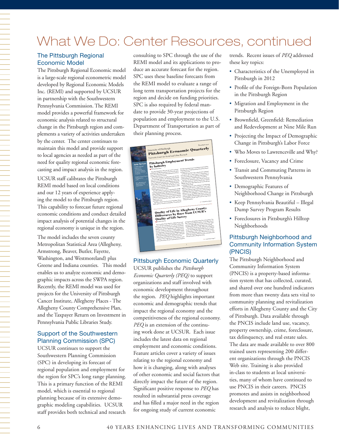# What We Do: Center Resources, continued

## The Pittsburgh Regional Economic Model

The Pittsburgh Regional Economic model is a large-scale regional econometric model developed by Regional Economic Models Inc. (REMI) and supported by UCSUR in partnership with the Southwestern Pennsylvania Commission. The REMI model provides a powerful framework for economic analysis related to structural change in the Pittsburgh region and complements a variety of activities undertaken by the center. The center continues to maintain this model and provide support to local agencies as needed as part of the need for quality regional economic forecasting and impact analysis in the region.

UCSUR staff calibrates the Pittsburgh REMI model based on local conditions and our 12 years of experience applying the model to the Pittsburgh region. This capability to forecast future regional economic conditions and conduct detailed impact analysis of potential changes in the regional economy is unique in the region.

The model includes the seven county Metropolitan Statistical Area (Allegheny, Armstrong, Beaver, Butler, Fayette, Washington, and Westmoreland) plus Greene and Indiana counties. This model enables us to analyze economic and demographic impacts across the SWPA region. Recently, the REMI model was used for projects for the University of Pittsburgh Cancer Institute, Allegheny Places - The Allegheny County Comprehensive Plan, and the Taxpayer Return on Investment in Pennsylvania Public Libraries Study.

## Support of the Southwestern Planning Commission (SPC)

UCSUR continues to support the Southwestern Planning Commission (SPC) in developing its forecast of regional population and employment for the region for SPC's long range planning. This is a primary function of the REMI model, which is essential to regional planning because of its extensive demographic modeling capabilities. UCSUR staff provides both technical and research consulting to SPC through the use of the REMI model and its applications to produce an accurate forecast for the region. SPC uses these baseline forecasts from the REMI model to evaluate a range of long term transportation projects for the region and decide on funding priorities. SPC is also required by federal mandate to provide 30-year projections of population and employment to the U.S. Department of Transportation as part of their planning process.

|                                                                                                                                                                 |                                                                                                                                                                                                                                                                                                                                                                                                                                                                                                                                                                                                                                                                                                                                                                                                                                                                                                                                                                                                      | <b>DECEMBER 2012</b>                                                                                                                                                                                                                                                                                                                                                                                                                                                                                                                                                                                                                                                                                                                                                                                                                                                                                                               |
|-----------------------------------------------------------------------------------------------------------------------------------------------------------------|------------------------------------------------------------------------------------------------------------------------------------------------------------------------------------------------------------------------------------------------------------------------------------------------------------------------------------------------------------------------------------------------------------------------------------------------------------------------------------------------------------------------------------------------------------------------------------------------------------------------------------------------------------------------------------------------------------------------------------------------------------------------------------------------------------------------------------------------------------------------------------------------------------------------------------------------------------------------------------------------------|------------------------------------------------------------------------------------------------------------------------------------------------------------------------------------------------------------------------------------------------------------------------------------------------------------------------------------------------------------------------------------------------------------------------------------------------------------------------------------------------------------------------------------------------------------------------------------------------------------------------------------------------------------------------------------------------------------------------------------------------------------------------------------------------------------------------------------------------------------------------------------------------------------------------------------|
|                                                                                                                                                                 | <b>Pittsburgh Economic Quarterly</b><br>University of Pittsburgh                                                                                                                                                                                                                                                                                                                                                                                                                                                                                                                                                                                                                                                                                                                                                                                                                                                                                                                                     |                                                                                                                                                                                                                                                                                                                                                                                                                                                                                                                                                                                                                                                                                                                                                                                                                                                                                                                                    |
| <b>Inside This Issue</b><br>uCtruth's Pittsburgh<br>Neighborhood<br>and Community<br>Intermation System to<br>Co-sponsor "Codefeat"<br>In February              | University Center for Social and Urban Research<br>Pittsburgh Employment Trends<br>by Industry<br>By Christopher Beiern<br>How did employment shift over the recent recession<br>period? How did different industrial sectors fare over these                                                                                                                                                                                                                                                                                                                                                                                                                                                                                                                                                                                                                                                                                                                                                        | The CPS is the primary source of statistics on the activities<br>of the labor tonce, including unemployment and the nation's<br>In summery, the CES is date collected from employers<br>unemployment rate.                                                                                                                                                                                                                                                                                                                                                                                                                                                                                                                                                                                                                                                                                                                         |
| Alegheny County Property<br>Tax Delinquency<br>- Wil<br>n 201<br><b>Spring 2013 Urban and</b><br>Regional Errori <sup>o Bag</sup> ness (1990)<br>Seminar Senies | years? This article examines recent employment mends in<br>the Pittsburgh regional economy.<br>We examine changes in employment over the five<br>year period 2007-2012 for the Pittsburgh Metropolitan<br>Statistical Area (MSA) that constriats the seven coun-<br>ties in Systhwastern Pennsylvania: Allegheny, Armstrong,<br>Beaver, Buster, Farene, Washington, and Westerstelland.<br>Data have are compiled from the Bureau of Labor<br>Statistics Coment Employment Statistics (CES) on estab-<br>(ishment payroll across the nation.<br>The CES is based on a street of approximately 141,000<br>businesses and government agencies representing approx-<br>institute 486,000 worksites throughout the United States-<br>The primary statistics derived from the survey are monthly<br>extinstes of employment, boars, and earnings for detailed<br>industry sectors covering the nation, states, and major<br>The CES is distinct from the Current Population Survey<br>metropolitan areas. | and reflects data on jobs by place of employment. In<br>contrast, the CPS is data on individuals, reflecting workers'<br>primary employment compiled by place of residence-<br>CES dark are reported by major industry as defined<br>by the North American Industry Cassatication System<br>(NAVCS). Not all two-digit industry groups can be reported<br>at all peographic levels.<br>Employment data for yome industries in the Pittsburgh<br>MSA are reported only for "supersectors" due to data<br>suppression. Data are suppressed to prevent disclosure of<br>confidential information on specific firms, and the resulting<br>summers and the combinations of related industries. For<br>ingtance, the two-digit NAICS code sectors Finance and<br>interprise (NA/CS code 52) and Real estate and rental and<br>leasing (NAICS code 53) together (erm the supersector<br>Financial activities."<br>*** continued on page 2 |
|                                                                                                                                                                 | (CPS), which is a sinner of households, not workplaces.                                                                                                                                                                                                                                                                                                                                                                                                                                                                                                                                                                                                                                                                                                                                                                                                                                                                                                                                              | .<br>Participa de la construcción de la construcción de la construcción de la construcción de la construcción de la<br>Quality of Life in Allegheny County:<br>Differences by Race from UCSUR's                                                                                                                                                                                                                                                                                                                                                                                                                                                                                                                                                                                                                                                                                                                                    |
|                                                                                                                                                                 | <b>Quality of Life Survey</b><br>B By Sabina Delmick<br>How is quality of life related to neighborhood condi-<br>yions in the City of Pictaburgh and nearby communities<br>in Alleghamy County? How does contenantly satisfaction<br>differ by rack and other demographic conditions and how<br>are these related to conditions in these neighborhoods<br>and commensions? Results from the UCSUR 2011 Quality<br>of Life (00L) Survey and the Pitpsburgh Neighborhood and<br>Constitutiby Information System can be used to understand<br>some of these relationships and differences by rece.<br>Quality of tire is affected by a broad range of condi-<br>yong across human life and is represented by regidents'                                                                                                                                                                                                                                                                                 | perceptions and attitudes about their environments. The<br>2011 Pittsburgh Regional Quality of Life (QQL) Survey<br>covered a range of ODL topics over the "Power of 32" region<br>(see March 2012 PED for survey design and overview).<br>This shalyals focuses on QDL differences in Allegheny<br>County. The Presidential Regional GOL Survey conducted<br>an thermomote of Atrican Americans to be able to under-<br>stend and statistically analyze differences by race. Over<br>30 percent of African American survey respondents (\$1.8)<br>percent) resided in Adegivery County.<br>*** continued on page 4                                                                                                                                                                                                                                                                                                                |
|                                                                                                                                                                 |                                                                                                                                                                                                                                                                                                                                                                                                                                                                                                                                                                                                                                                                                                                                                                                                                                                                                                                                                                                                      | $\mathbf{I}$                                                                                                                                                                                                                                                                                                                                                                                                                                                                                                                                                                                                                                                                                                                                                                                                                                                                                                                       |
|                                                                                                                                                                 |                                                                                                                                                                                                                                                                                                                                                                                                                                                                                                                                                                                                                                                                                                                                                                                                                                                                                                                                                                                                      |                                                                                                                                                                                                                                                                                                                                                                                                                                                                                                                                                                                                                                                                                                                                                                                                                                                                                                                                    |

## Pittsburgh Economic Quarterly

UCSUR publishes the *Pittsburgh Economic Quarterly (PEQ)* to support organizations and staff involved with economic development throughout the region. *PEQ* highlights important economic and demographic trends that impact the regional economy and the competitiveness of the regional economy. *PEQ* is an extension of the continuing work done at UCSUR. Each issue includes the latest data on regional employment and economic conditions. Feature articles cover a variety of issues relating to the regional economy and how it is changing, along with analyses of other economic and social factors that directly impact the future of the region. Significant positive response to *PEQ* has resulted in substantial press coverage and has filled a major need in the region for ongoing study of current economic

trends. Recent issues of *PEQ* addressed these key topics:

- • Characteristics of the Unemployed in Pittsburgh in 2012
- • Profile of the Foreign-Born Population in the Pittsburgh Region
- Migration and Employment in the Pittsburgh Region
- • Brownfield, Greenfield: Remediation and Redevelopment at Nine Mile Run
- • Projecting the Impact of Demographic Change in Pittsburgh's Labor Force
- Who Moves to Lawrenceville and Why?
- • Foreclosure, Vacancy and Crime
- • Transit and Commuting Patterns in Southwestern Pennsylvania
- Demographic Features of Neighborhood Change in Pittsburgh
- • Keep Pennsylvania Beautiful Illegal Dump Survey Program Results
- • Foreclosures in Pittsburgh's Hilltop Neighborhoods

## Pittsburgh Neighborhood and Community Information System (PNCIS)

The Pittsburgh Neighborhood and Community Information System (PNCIS) is a property-based information system that has collected, curated, and shared over one hundred indicators from more than twenty data sets vital to community planning and revitalization efforts in Allegheny County and the City of Pittsburgh. Data available through the PNCIS include land use, vacancy, property ownership, crime, foreclosure, tax delinquency, and real estate sales. The data are made available to over 800 trained users representing 200 different organizations through the PNCIS Web site. Training is also provided in-class to students at local universities, many of whom have continued to use PNCIS in their careers. PNCIS promotes and assists in neighborhood development and revitalization through research and analysis to reduce blight,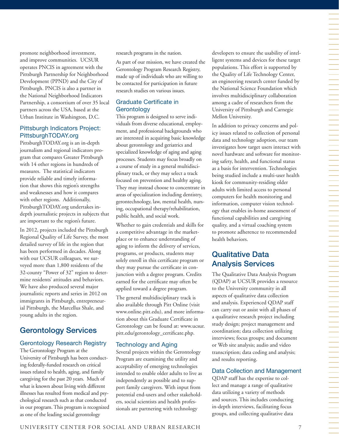promote neighborhood investment, and improve communities. UCSUR operates PNCIS in agreement with the Pittsburgh Partnership for Neighborhood Development (PPND) and the City of Pittsburgh. PNCIS is also a partner in the National Neighborhood Indicators Partnership, a consortium of over 35 local partners across the USA, based at the Urban Institute in Washington, D.C.

## Pittsburgh Indicators Project: PittsburghTODAY.org

PittsburghTODAY.org is an in-depth journalism and regional indicators program that compares Greater Pittsburgh with 14 other regions in hundreds of measures. The statistical indicators provide reliable and timely information that shows this region's strengths and weaknesses and how it compares with other regions. Additionally, PittsburghTODAY.org undertakes indepth journalistic projects in subjects that are important to the region's future.

In 2012, projects included the Pittsburgh Regional Quality of Life Survey, the most detailed survey of life in the region that has been performed in decades. Along with our UCSUR colleagues, we surveyed more than 1,800 residents of the 32-county "Power of 32" region to determine residents' attitudes and behaviors. We have also produced several major journalistic reports and series in 2012 on immigrants in Pittsburgh, entrepreneurial Pittsburgh, the Marcellus Shale, and young adults in the region.

## Gerontology Services

## Gerontology Research Registry

The Gerontology Program at the University of Pittsburgh has been conducting federally-funded research on critical issues related to health, aging, and family caregiving for the past 20 years. Much of what is known about living with different illnesses has resulted from medical and psychological research such as that conducted in our program. This program is recognized as one of the leading social gerontology

research programs in the nation.

As part of our mission, we have created the Gerontology Program Research Registry, made up of individuals who are willing to be contacted for participation in future research studies on various issues.

## Graduate Certificate in **Gerontology**

This program is designed to serve individuals from diverse educational, employment, and professional backgrounds who are interested in acquiring basic knowledge about gerontology and geriatrics and specialized knowledge of aging and aging processes. Students may focus broadly on a course of study in a general multidisciplinary track, or they may select a track focused on prevention and healthy aging. They may instead choose to concentrate in areas of specialization including dentistry, gerontechnology, law, mental health, nursing, occupational therapy/rehabilitation, public health, and social work.

Whether to gain credentials and skills for a competitive advantage in the marketplace or to enhance understanding of aging to inform the delivery of services, programs, or products, students may solely enroll in this certificate program or they may pursue the certificate in conjunction with a degree program. Credits earned for the certificate may often be applied toward a degree program.

The general multidisciplinary track is also available through Pitt Online (visit www.online.pitt.edu), and more information about this Graduate Certificate in Gerontology can be found at: www.ucsur. pitt.edu/gerontology\_certificate.php.

## Technology and Aging

Several projects within the Gerontology Program are examining the utility and acceptability of emerging technologies intended to enable older adults to live as independently as possible and to support family caregivers. With input from potential end-users and other stakeholders, social scientists and health professionals are partnering with technology

developers to ensure the usability of intelligent systems and devices for these target populations. This effort is supported by the Quality of Life Technology Center, an engineering research center funded by the National Science Foundation which involves multidisciplinary collaboration among a cadre of researchers from the University of Pittsburgh and Carnegie Mellon University.

In addition to privacy concerns and policy issues related to collection of personal data and technology adoption, our team investigates how target users interact with novel hardware and software for monitoring safety, health, and functional status as a basis for intervention. Technologies being studied include a multi-user health kiosk for community-residing older adults with limited access to personal computers for health monitoring and information, computer vision technology that enables in-home assessment of functional capabilities and caregiving quality, and a virtual coaching system to promote adherence to recommended health behaviors.

## Qualitative Data Analysis Services

The Qualitative Data Analysis Program (QDAP) at UCSUR provides a resource to the University community in all aspects of qualitative data collection and analysis. Experienced QDAP staff can carry out or assist with all phases of a qualitative research project including study design; project management and coordination; data collection utilizing interviews; focus groups; and document or Web site analysis; audio and video transcription; data coding and analysis; and results reporting.

## Data Collection and Management

QDAP staff has the expertise to collect and manage a range of qualitative data utilizing a variety of methods and sources. This includes conducting in-depth interviews, facilitating focus groups, and collecting qualitative data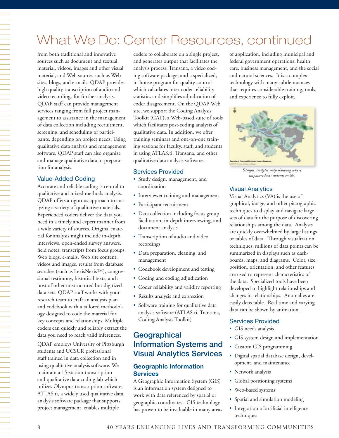## What We Do: Center Resources, continued

from both traditional and innovative sources such as document and textual material, videos, images and other visual material, and Web sources such as Web sites, blogs, and e-mails. QDAP provides high quality transcription of audio and video recordings for further analysis. QDAP staff can provide management services ranging from full project management to assistance in the management of data collection including recruitment, screening, and scheduling of participants, depending on project needs. Using qualitative data analysis and management software, QDAP staff can also organize and manage qualitative data in preparation for analysis.

#### Value-Added Coding

Accurate and reliable coding is central to qualitative and mixed methods analysis. QDAP offers a rigorous approach to analyzing a variety of qualitative materials. Experienced coders deliver the data you need in a timely and expert manner from a wide variety of sources. Original material for analysis might include in-depth interviews, open-ended survey answers, field notes, transcripts from focus groups, Web blogs, e-mails, Web site content, videos and images, results from database searches (such as LexisNexis™), congressional testimony, historical texts, and a host of other unstructured but digitized data sets. QDAP staff works with your research team to craft an analysis plan and codebook with a tailored methodology designed to code the material for key concepts and relationships. Multiple coders can quickly and reliably extract the data you need to reach valid inferences.

QDAP employs University of Pittsburgh students and UCSUR professional staff trained in data collection and in using qualitative analysis software. We maintain a 15-station transcription and qualitative data coding lab which utilizes Olympus transcription software; ATLAS.ti, a widely used qualitative data analysis software package that supports project management, enables multiple

coders to collaborate on a single project, and generates output that facilitates the analysis process; Transana, a video coding software package; and a specialized, in-house program for quality control which calculates inter-coder reliability statistics and simplifies adjudication of coder disagreement. On the QDAP Web site, we support the Coding Analysis Toolkit (CAT), a Web-based suite of tools which facilitates post-coding analysis of qualitative data. In addition, we offer training seminars and one-on-one training sessions for faculty, staff, and students in using ATLAS.ti, Transana, and other qualitative data analysis software.

## Services Provided

- • Study design, management, and coordination
- Interviewer training and management
- Participant recruitment
- Data collection including focus group facilitation, in-depth interviewing, and document analysis
- Transcription of audio and video recordings
- • Data preparation, cleaning, and management
- Codebook development and testing
- Coding and coding adjudication
- Coder reliability and validity reporting
- Results analysis and expression
- Software training for qualitative data analysis software (ATLAS.ti, Transana, Coding Analysis Toolkit)

## **Geographical** Information Systems and Visual Analytics Services

## **Geographic Information Services**

A Geographic Information System (GIS) is an information system designed to work with data referenced by spatial or geographic coordinates. GIS technology has proven to be invaluable in many areas of application, including municipal and federal government operations, health care, business management, and the social and natural sciences. It is a complex technology with many subtle nuances that requires considerable training, tools, and experience to fully exploit.



*Sample analytic map showing where impoverished students reside.*

## Visual Analytics

Visual Analytics (VA) is the use of graphical, image, and other pictographic techniques to display and navigate large sets of data for the purpose of discovering relationships among the data. Analysts are quickly overwhelmed by large listings or tables of data. Through visualization techniques, millions of data points can be summarized in displays such as dashboards, maps, and diagrams. Color, size, position, orientation, and other features are used to represent characteristics of the data. Specialized tools have been developed to highlight relationships and changes in relationships. Anomalies are easily detectable. Real time and varying data can be shown by animation.

#### Services Provided

- GIS needs analysis
- GIS system design and implementation
- • Custom GIS programming
- • Digital spatial database design, development, and maintenance
- Network analysis
- Global positioning systems
- • Web-based systems
- Spatial and simulation modeling
- Integration of artificial intelligence techniques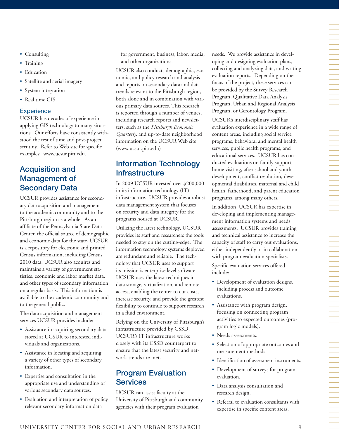- Consulting
- Training
- Education
- Satellite and aerial imagery
- System integration
- Real time GIS

## **Experience**

UCSUR has decades of experience in applying GIS technology to many situations. Our efforts have consistently withstood the test of time and post-project scrutiny. Refer to Web site for specific examples: www.ucsur.pitt.edu.

## Acquisition and Management of Secondary Data

UCSUR provides assistance for secondary data acquisition and management to the academic community and to the Pittsburgh region as a whole. As an affiliate of the Pennsylvania State Data Center, the official source of demographic and economic data for the state, UCSUR is a repository for electronic and printed Census information, including Census 2010 data. UCSUR also acquires and maintains a variety of government statistics, economic and labor market data, and other types of secondary information on a regular basis. This information is available to the academic community and to the general public.

The data acquisition and management services UCSUR provides include:

- Assistance in acquiring secondary data stored at UCSUR to interested individuals and organizations.
- Assistance in locating and acquiring a variety of other types of secondary information.
- • Expertise and consultation in the appropriate use and understanding of various secondary data sources.
- Evaluation and interpretation of policy relevant secondary information data

for government, business, labor, media, and other organizations.

UCSUR also conducts demographic, economic, and policy research and analysis and reports on secondary data and data trends relevant to the Pittsburgh region, both alone and in combination with various primary data sources. This research is reported through a number of venues, including research reports and newsletters, such as the *Pittsburgh Economic Quarterly*, and up-to-date neighborhood information on the UCSUR Web site (www.ucsur.pitt.edu)

## Information Technology **Infrastructure**

In 2009 UCSUR invested over \$200,000 in its information technology (IT) infrastructure. UCSUR provides a robust data management system that focuses on security and data integrity for the programs housed at UCSUR.

Utilizing the latest technology, UCSUR provides its staff and researchers the tools needed to stay on the cutting-edge. The information technology systems deployed are redundant and reliable. The technology that UCSUR uses to support its mission is enterprise level software. UCSUR uses the latest techniques in data storage, virtualization, and remote access, enabling the center to cut costs, increase security, and provide the greatest flexibility to continue to support research in a fluid environment.

Relying on the University of Pittsburgh's infrastructure provided by CSSD, UCSUR's IT infrastructure works closely with its CSSD counterpart to ensure that the latest security and network trends are met.

## Program Evaluation Services

UCSUR can assist faculty at the University of Pittsburgh and community agencies with their program evaluation

needs. We provide assistance in developing and designing evaluation plans, collecting and analyzing data, and writing evaluation reports. Depending on the focus of the project, these services can be provided by the Survey Research Program, Qualitative Data Analysis Program, Urban and Regional Analysis Program, or Gerontology Program. UCSUR's interdisciplinary staff has evaluation experience in a wide range of content areas, including social service programs, behavioral and mental health services, public health programs, and educational services. UCSUR has conducted evaluations on family support, home visiting, after school and youth development, conflict resolution, developmental disabilities, maternal and child health, fatherhood, and parent education programs, among many others.

In addition, UCSUR has expertise in developing and implementing management information systems and needs assessments. UCSUR provides training and technical assistance to increase the capacity of staff to carry out evaluations, either independently or in collaboration with program evaluation specialists. Specific evaluation services offered include:

- Development of evaluation designs, including process and outcome evaluations.
- Assistance with program design, focusing on connecting program activities to expected outcomes (program logic models).
- Needs assessments.
- • Selection of appropriate outcomes and measurement methods.
- Identification of assessment instruments.
- Development of surveys for program evaluation.
- • Data analysis consultation and research design.
- • Referral to evaluation consultants with expertise in specific content areas.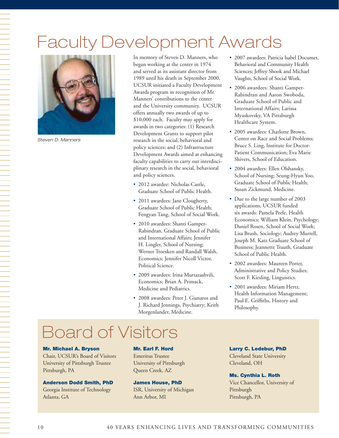# Faculty Development Awards



*Steven D. Manners*

In memory of Steven D. Manners, who began working at the center in 1974 and served as its assistant director from 1989 until his death in September 2000, UCSUR initiated a Faculty Development Awards program in recognition of Mr. Manners' contributions to the center and the University community. UCSUR offers annually two awards of up to \$10,000 each. Faculty may apply for awards in two categories: (1) Research Development Grants to support pilot research in the social, behavioral and policy sciences; and (2) Infrastructure Development Awards aimed at enhancing faculty capabilities to carry out interdisciplinary research in the social, behavioral and policy sciences.

- 2012 awardee: Nicholas Castle, Graduate School of Public Health.
- 2011 awardees: Jane Clougherty, Graduate School of Public Health; Fengyan Tang, School of Social Work.
- • 2010 awardees: Shanti Gamper-Rabindran, Graduate School of Public and International Affairs; Jennifer H. Lingler, School of Nursing; Werner Troesken and Randall Walsh, Economics; Jennifer Nicoll Victor, Political Science.
- 2009 awardees: Irina Murtazashvili, Economics; Brian A. Primack, Medicine and Pediatrics.
- • 2008 awardees: Peter J. Gianaros and J. Richard Jennings, Psychiatry; Keith Morgenlander, Medicine.
- • 2007 awardees: Patricia Isabel Documet, Behavioral and Community Health Sciences; Jeffrey Shook and Michael Vaughn, School of Social Work.
- 2006 awardees: Shanti Gamper-Rabindran and Aaron Swoboda, Graduate School of Public and International Affairs; Larissa Myaskovsky, VA Pittsburgh Healthcare System.
- 2005 awardees: Charlotte Brown, Center on Race and Social Problems; Bruce S. Ling, Institute for Doctor-Patient Communication; Eva Marie Shivers, School of Education.
- 2004 awardees: Ellen Olshansky, School of Nursing; Seung-Hyun Yoo, Graduate School of Public Health; Susan Zickmund, Medicine.
- Due to the large number of 2003 applications, UCSUR funded six awards: Pamela Peele, Health Economics; William Klein, Psychology; Daniel Rosen, School of Social Work; Lisa Brush, Sociology; Audrey Murrell, Joseph M. Katz Graduate School of Business; Jeannette Trauth, Graduate School of Public Health.
- 2002 awardees: Maureen Porter, Administrative and Policy Studies; Scott F. Kiesling, Linguistics.
- 2001 awardees: Miriam Hertz, Health Information Management; Paul E. Griffiths, History and Philosophy.

# Board of Visitors

#### Mr. Michael A. Bryson

Chair, UCSUR's Board of Visitors University of Pittsburgh Trustee Pittsburgh, PA

## Anderson Dodd Smith, PhD

Georgia Institute of Technology Atlanta, GA

#### Mr. Earl F. Hord

Emeritus Trustee University of Pittsburgh Queen Creek, AZ

### James House, PhD

ISR, University of Michigan Ann Arbor, MI

#### Larry C. Ledebur, PhD

Cleveland State University Cleveland, OH

#### Ms. Cynthia L. Roth

Vice Chancellor, University of Pittsburgh Pittsburgh, PA

一个人,我们就是一个人,我们就是一个人,我们就是一个人,我们就是一个人,我们就是一个人,我们就是一个人,我们就是一个人,我们就是一个人,我们就是一个人,我们就是一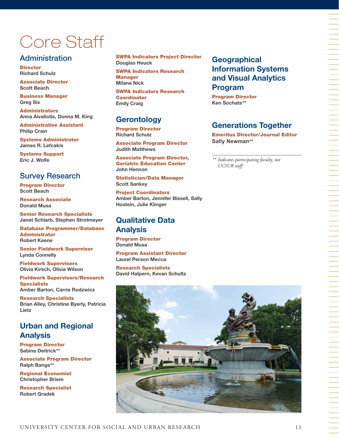# Core Staff

## **Administration**

**Director Richard Schulz** 

Associate Director **Scott Beach**

Business Manager **Greg Six** 

Administrators **Anna Aivaliotis, Donna M. King** 

Administrative Assistant **Philip Crain** 

Systems Administrator **James R. Lefcakis**

Systems Support **Eric J. Wolfe**

## Survey Research

Program Director **Scott Beach**

Research Associate **Donald Musa** 

Senior Research Specialists **Janet Schlarb, Stephen Strotmeyer**

Database Programmer/Database Administrator **Robert Keene**

Senior Fieldwork Supervisor **Lynda Connelly**

Fieldwork Supervisors **Olivia Kirsch, Olivia Wilson**

Fieldwork Supervisors/Research **Specialists Amber Barton, Carrie Rodzwicz** 

Research Specialists **Brian Alley, Christine Byerly, Patricia Lietz** 

## **Urban and Regional Analysis**

Program Director **Sabina Deitrick\*\***

Associate Program Director **Ralph Bangs\*\***

Regional Economist **Christopher Briem**

Research Specialist **Robert Gradek**

SWPA Indicators Project Director **Douglas Heuck**

SWPA Indicators Research **Manager Milana Nick**

SWPA Indicators Research **Coordinator Emily Craig**

## **Gerontology**

Program Director **Richard Schulz** 

Associate Program Director **Judith Matthews**

Associate Program Director, Geriatric Education Center **John Hennon** 

Statistician/Data Manager **Scott Sankey**

Project Coordinators **Amber Barton, Jennifer Bissell, Sally Hostein, Julie Klinger**

## **Qualitative Data Analysis**

Program Director **Donald Musa**

Program Assistant Director **Laurel Person Mecca**

Research Specialists **David Halpern, Kevan Schultz**

## **Geographical Information Systems and Visual Analytics Program**

Program Director **Ken Sochats\*\*** 

## **Generations Together**

Emeritus Director/Journal Editor **Sally Newman\*\***

*\*\* Indicates participating faculty, not UCSUR staff* 

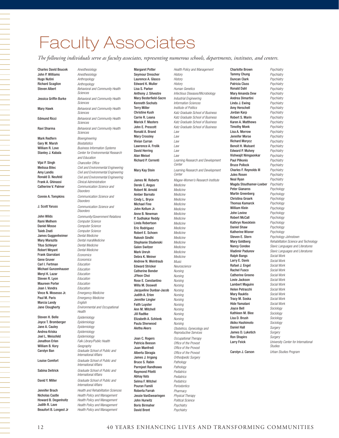# Faculty Associates

*The following individuals serve as faculty associates, representing numerous schools, departments, institutes, and centers.*

Mark Redfern *Bioengineering* Gary M. Marsh *Biostatistics* Vijai P. Singh *Chancellor Office* Frank A. Ghinassi *Clinical Administration* Rami Melhem *Computer Science* Daniel Mosse *Computer Science* Taieb Znati *Computer Science* James Guggenheimer *Dental Medicine* Mary Marazita *Dental maraMedicine* Titus Schleyer *Dental Medicine* Robert Weyant *Dental Medicine* Frank Giarratani *Economics* Gene Gruver *Economics* Carl I. Fertman *Education* Michael Gunzenhauser *Education* Meryl K. Lazar *Education* Steven R. Lyon *Education*

Maureen Porter *Education* Joan I. Vondra *Education* Vince N. Mosesso Jr. *Emergency Medicine* Paul M. Paris *Emergency Medicine* Marcia Landy *English*

Steven H. Belle *Epidemiology* Joyce T. Bromberger *Epidemiology* Jane A. Cauley *Epidemiology* Andrea Kriska *Epidemiology* Joel L. Weissfeld *Epidemiology* William B. Kory *Geography*

Judith R. Lave *Health Policy and Management*  Beaufort B. Longest Jr *Health Policy and Management* 

Charles David Boucek *Anesthesiology* John P. Williams *Anesthesiology* Hugo Nutini *Anthropology* Richard Scaglion *Anthropology* Steven Albert *Behavioral and Community Health Sciences* Jessica Griffin Burke *Behavioral and Community Health Sciences* Mary Hawk *Behavioral and Community Health Sciences* Edmund Ricci *Behavioral and Community Health Sciences* Ravi Sharma *Behavioral and Community Health Sciences* William R. Love *Business Information Systems* Stanley J. Kabala *Center for Environmental Research and Education* Melissa Bilec *Civil and Environmental Engineering* Amy Landis *Civil and Environmental Engineering* **Civil and Environmental Engineering** Catherine V. Palmer *Communication Science and Disorders* Connie A. Tompkins *Communication Science and Disorders* J. Scott Yaruss *Communication Science and Disorders* John Wilds *Community/Government Relations* Jane Clougherty *Environmental and Occupational Health* Jonathon Erlen *Falk Library/Public Health* Carolyn Ban *Graduate School of Public and International Affairs*  Louise Comfort *Graduate School of Public and International Affairs*  Sabina Deitrick *Graduate School of Public and International Affairs* David Y. Miller *Graduate School of Public and International Affairs* Jennifer Brach *Health and Rehabilitation Sciences* Nicholas Castle *Health Policy and Management* Howard B. Degenholtz *Health Policy and Management*

Ronald A. Brand *Law* Mary Crossley *Law* Vivian Curran *Law* Lawrence A. Frolik *Law* David Herring *Law* Alan Meisel *Law* Derek C. Angus *Medicine* Robert M. Arnold *Medicine*<br> **Amber Barnato** *Medicine* Amber Barnato *Medicine* Cindy L. Bryce *Medicine* Michael Fine *Medicine* John Kellum Jr. *Medicine* Anne B. Newman *Medicine* P. Sudhakar Reddy *Medicine* Linda Robertson *Medicine* **Eric Rodriguez** Robert E. Schoen *Medicine* Rakesh Sindhi *Medicine* Stephanie Studenski *Medicine* Galen Switzer *Medicine* Mark Unruh *Medicine* Debra K. Weiner *Medicine* Andrew N. Weintraub *Music* Edward Stricker *Neuroscience* Catherine Bender *Nursing* JiYeon Choi *Nursing* Rose E. Constantino *Nursing* Willa M. Doswell *Nursing* Jacqueline Dunbar-Jacob *Nursing* Judith A. Erlen *Nursing* Jennifer Lingler *Nursing* Faith Luyster *Nursing* Ann M. Mitchell *Nursing* Jill Radtke *Nursing* Elizabeth A. Schlenk *Nursing* Paula Sherwood *Nursing* Joan C. Rogers *Occupational Therapy* Patricia Beeson *Office of the Provost* Juan Manfredi *Office of the Provost* Alberta Sbragia *Office of the Provost* James J. Irrgang *Orthodpedic Surgery* **Bruce S. Rabin** *Pathology*<br>**Parmieet Randhawa** *Pathology* Parmjeet Randhawa *Pathology* Raymond Pitetti *Pediatrics* Abhay Vats *Pediatrics* Selma F. Witchel *Pediatrics* Pouran Famili *Periodontics* Roberta Farrah *Pharmacy* Jessie VanSwearingen *Physical Therapy* John Hurwitz *Political Science* Boris Birmaher *Psychiatry*  David Brent *Psychiatry* 

Margaret Potter *Health Policy and Management*  Seymour Drescher *History* Laurence A. Glasco *History* Edward K. Muller *History* Lisa S. Parker *Human Genetics* Anthony J. Silvestre *Infectious Diseases/Microbiology* Mary Besterfield-Sacre *Industrial Engineering* Kenneth Sochats *Information Sciences* Terry Miller *Institute of Politics* Christine Kush *Katz Graduate School of Business* Carrie R. Leana *Katz Graduate School of Business* Marick F. Masters *Katz Graduate School of Business* John E. Prescott *Katz Graduate School of Business* Richard P. Correnti *Learning Research and Development Center* Mary Kay Stein *Learning Research and Development Center* James M. Roberts *Magee-Women's Research Institute* Aletha Akers *Obstetrics, Gynecology and Reproductive Services*

Charlotte Brown *Psychiatry* Tammy Chung *Psychiatry* Duncan Clark *Psychiatry* Patricia Cluss *Psychiatry* Ronald Dahl *Psychiatry* Mary Amanda Dew *Psychiatry* Andrea Dimartini *Psychiatry* Linda J. Ewing *Psychiatry* Amy Herschell *Psychiatry* Jordan Karp *Psychiatry* Robert S. Marin *Psychiatry* Karen A. Matthews *Psychiatry* Timothy Monk *Psychiatry* Lisa A. Morrow *Psychiatry* **Jennifer Morse** Richard Morycz *Psychiatry* Benoit H. Mulsant *Psychiatry* Edward P. Mulvey *Psychiatry* Vishwajit Nimgaonkar *Psychiatry* Paul Pilkonis *Psychiatry* Bruce Pollock *Psychiatry* Charles F. Reynolds III *Psychiatry* Jules Rosen *Psychiatry* Neal Ryan *Psychiatry* **Magda Stouthamer-Loeber** Peter Gianaros *Psychology* Martin Greenberg *Psychology* Christina Groark *Psychology* Thomas Kamarck *Psychology* William Klein *Psychology* John Levine *Psychology* Robert McCall *Psychology* Kathryn Roecklein *Psychology* Daniel Shaw *Psychology* **Katherine Wisner** *Psychology*<br>**Steven E. Stern** *Psychology* Ralph Bangs *Social Work* Larry E. Davis *Social Work* Rafael J. Engel *Social Work* Rachel Fusco *Social Work* Catherine Greeno *Social Work* Lovie Jackson *Social Work* Lambert Maguire *Social Work* Helen Petracchi *Social Work* Mary Rauktis *Social Work*  Tracy M. Soska *Social Work* Hide Yamatani *Social Work* Joyce Bell *Sociology* Kathleen M. Blee *Sociology* Lisa D. Brush *Sociology* Akiko Hashimoto *Sociology* Daniel Hall *Surgery* James D. Luketich *Surgery* Ron Shapiro *Surgery* Carolyn J. Carson *Urban Studies Program*

Steven E. Stern *Psychology-Johnstown* Mary Goldberg *Rehabilitation Science and Technology* Nancy Condee *Slavic Languages and Literatures* Vladimir Padunov *Slavic Languages and Literatures* Larry Feick *University Center for International Studies*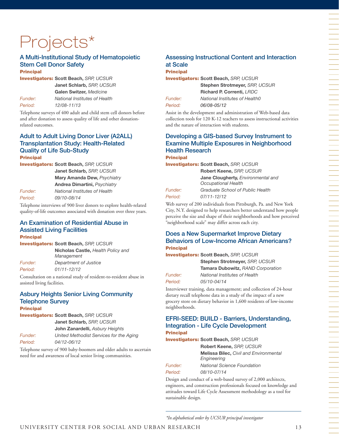# Projects\*

#### A Multi-Institutional Study of Hematopoietic Stem Cell Donor Safety **Principal**

Investigators: **Scott Beach,** *SRP, UCSUR*

**Janet Schlarb,** *SRP, UCSUR* **Galen Switzer,** *Medicine* 

*Funder: National Institutes of Health Period: 12/08-11/13*

Telephone surveys of 400 adult and child stem cell donors before and after donation to assess quality of life and other donationrelated outcomes.

## Adult to Adult Living Donor Liver (A2ALL) Transplantation Study: Health-Related Quality of Life Sub-Study

Principal Investigators: **Scott Beach,** *SRP, UCSUR* **Janet Schlarb,** *SRP, UCSUR* **Mary Amanda Dew,** *Psychiatry* **Andrea Dimartini,** *Psychiatry Funder: National Institutes of Health Period: 09/10-08/14*

Telephone interviews of 900 liver donors to explore health-related quality-of-life outcomes associated with donation over three years.

## An Examination of Residential Abuse in Assisted Living Facilities

Principal

Investigators: **Scott Beach,** *SRP, UCSUR* **Nicholas Castle,** *Health Policy and Management Funder: Department of Justice Period: 01/11-12/12*

Consultation on a national study of resident-to-resident abuse in assisted living facilities.

### Asbury Heights Senior Living Community Telephone Survey **Principal**

Investigators: **Scott Beach,** *SRP, UCSUR* **Janet Schlarb,** *SRP, UCSUR* **John Zanardelli,** *Asbury Heights Funder: United Methodist Services for the Aging Period: 04/12-06/12*

Telephone survey of 900 baby-boomers and older adults to ascertain need for and awareness of local senior living communities.

## Assessing Instructional Content and Interaction at Scale

**Principal** Investigators: **Scott Beach,** *SRP, UCSUR* **Stephen Strotmeyer,** *SRP, UCSUR* **Richard P. Correnti,** *LRDC*

*Funder: National Institutes of Health0 Period: 06/08-05/12*

Assist in the development and administration of Web-based data collection tools for 120 K-12 teachers to assess instructional activities and the nature of interaction with students.

## Developing a GIS-based Survey Instrument to Examine Multiple Exposures in Neighborhood Health Research **Principal**

Investigators: **Scott Beach,** *SRP, UCSUR*

**Robert Keene,** *SRP, UCSUR* **Jane Clougherty,** *Environmental and Occupational Health*

*Funder: Graduate School of Public Health*

*Period: 07/11-12/12*

Web survey of 200 individuals from Pittsburgh, Pa. and New York City, N.Y. designed to help researchers better understand how people perceive the size and shape of their neighborhoods and how perceived "neighborhood scale" may differ across each city.

## Does a New Supermarket Improve Dietary Behaviors of Low-Income African Americans? **Principal**

Investigators: **Scott Beach,** *SRP, UCSUR*

**Stephen Strotmeyer,** *SRP, UCSUR* **Tamara Dubowitz,** *RAND Corporation Funder: National Institutes of Health Period: 05/10-04/14*

Interviewer training, data management; and collection of 24-hour dietary recall telephone data in a study of the impact of a new grocery store on dietary behavior in 1,600 residents of low-income neighborhoods.

## EFRI-SEED: BUILD - Barriers, Understanding, Integration - Life Cycle Development **Principal**

Investigators: **Scott Beach,** *SRP, UCSUR*

**Robert Keene,** *SRP, UCSUR* **Melissa Bilec,** *Civil and Environmental Engineering Funder: National Science Foundation Period: 08/10-07/14*

Design and conduct of a web-based survey of 2,000 architects, engineers, and construction professionals focused on knowledge and attitudes toward Life Cycle Assessment methodology as a tool for sustainable design.

*\*In alphabetical order by UCSUR principal investigator*

一个人,我们就是一个人,我们就是一个人,我们就是一个人,我们就是一个人,我们就是一个人,我们就是一个人,我们就是一个人,我们就是一个人,我们就是一个人,我们就是一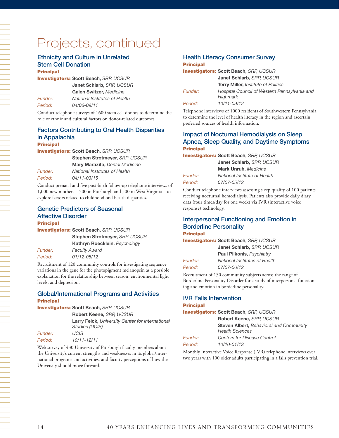## Projects, continued

#### Ethnicity and Culture in Unrelated Stem Cell Donation **Principal**

Investigators: **Scott Beach,** *SRP, UCSUR* **Janet Schlarb,** *SRP, UCSUR* **Galen Switzer,** *Medicine Funder: National Institutes of Health Period: 04/06-09/11* 

Conduct telephone surveys of 1600 stem cell donors to determine the role of ethnic and cultural factors on donor-related outcomes.

## Factors Contributing to Oral Health Disparities in Appalachia

## **Principal**

Investigators: **Scott Beach,** *SRP, UCSUR*

**Stephen Strotmeyer,** *SRP, UCSUR* **Mary Marazita,** *Dental Medicine*

*Funder: National Institutes of Health Period: 04/11-03/15*

Conduct prenatal and five post-birth follow-up telephone interviews of 1,000 new mothers—500 in Pittsburgh and 500 in West Virginia—to explore factors related to childhood oral health disparities.

#### Genetic Predictors of Seasonal Affective Disorder **Principal**

Investigators: **Scott Beach,** *SRP, UCSUR*

**Stephen Strotmeyer,** *SRP, UCSUR* **Kathryn Roecklein,** *Psychology Funder: Faculty Award Period: 01/12-05/12*

Recruitment of 120 community controls for investigating sequence variations in the gene for the photopigment melanopsin as a possible explanation for the relationship between season, environmental light levels, and depression.

## Global/International Programs and Activities **Principal**

Investigators: **Scott Beach,** *SRP, UCSUR*

**Robert Keene,** *SRP, UCSUR*

**Larry Feick,** *University Center for International Studies (UCIS)*

*Funder: UCIS Period: 10/11-12/11* 

Web survey of 430 University of Pittsburgh faculty members about the University's current strengths and weaknesses in its global/international programs and activities, and faculty perceptions of how the University should move forward.

#### Health Literacy Consumer Survey **Principal**

## Investigators: **Scott Beach,** *SRP, UCSUR* **Janet Schlarb,** *SRP, UCSUR* **Terry Miller,** *Institute of Politics Funder: Hospital Council of Western Pennsylvania and Highmark Period: 10/11-09/12*

Telephone interviews of 1000 residents of Southwestern Pennsylvania to determine the level of health literacy in the region and ascertain preferred sources of health information.

## Impact of Nocturnal Hemodialysis on Sleep Apnea, Sleep Quality, and Daytime Symptoms Principal

Investigators: **Scott Beach,** *SRP, UCSUR* **Janet Schlarb,** *SRP, UCSUR*

|         | <b>Mark Unruh, Medicine</b>  |  |
|---------|------------------------------|--|
| Funder: | National Institute of Health |  |
| Period: | 07/07-05/12                  |  |

Conduct telephone interviews assessing sleep quality of 100 patients receiving nocturnal hemodialysis. Patients also provide daily diary data (four times/day for one week) via IVR (interactive voice response) technology.

### Interpersonal Functioning and Emotion in Borderline Personality **Principal**

Investigators: **Scott Beach,** *SRP, UCSUR*

|                | Janet Schlarb, SRP, UCSUR     |  |
|----------------|-------------------------------|--|
|                | Paul Pilkonis, Psychiatry     |  |
| <i>Funder:</i> | National Institutes of Health |  |
| Period:        | 07/07-06/12                   |  |

Recruitment of 150 community subjects across the range of Borderline Personality Disorder for a study of interpersonal functioning and emotion in borderline personality.

## IVR Falls Intervention

#### **Principal**

Investigators: **Scott Beach,** *SRP, UCSUR* **Robert Keene,** *SRP, UCSUR*

**Steven Albert,** *Behavioral and Community Health Sciences Funder: Centers for Disease Control*

*Period: 10/10-01/13*

Monthly Interactive Voice Response (IVR) telephone interviews over two years with 100 older adults participating in a falls prevention trial.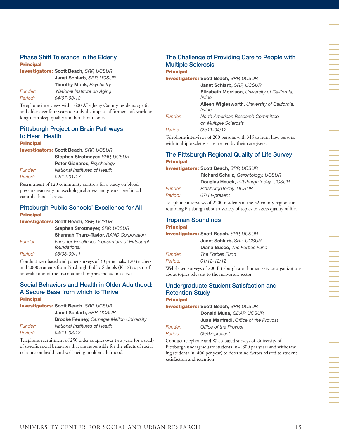## Phase Shift Tolerance in the Elderly Principal

Investigators: **Scott Beach,** *SRP, UCSUR* **Janet Schlarb,** *SRP, UCSUR* **Timothy Monk,** *Psychiatry Funder: National Institute on Aging Period: 04/07-03/13*

Telephone interviews with 1600 Allegheny County residents age 65 and older over four years to study the impact of former shift work on long-term sleep quality and health outcomes.

### Pittsburgh Project on Brain Pathways to Heart Health Principal

Investigators: **Scott Beach,** *SRP, UCSUR*

| Stephen Strotmeyer, SRP, UCSUR |
|--------------------------------|
| Peter Gianaros, Psychology     |
| National Institutes of Health  |
| 02/12-01/17                    |
|                                |

Recruitment of 120 community controls for a study on blood pressure reactivity to psychological stress and greater preclinical carotid atherosclerosis.

## Pittsburgh Public Schools' Excellence for All **Principal**

Investigators: **Scott Beach,** *SRP, UCSUR*

**Stephen Strotmeyer,** *SRP, UCSUR* **Shannah Tharp-Taylor,** *RAND Corporation Funder: Fund for Excellence (consortium of Pittsburgh foundations) Period: 03/08-09/11* 

Conduct web-based and paper surveys of 30 principals, 120 teachers, and 2000 students from Pittsburgh Public Schools (K-12) as part of an evaluation of the Instructional Improvements Initiative.

## Social Behaviors and Health in Older Adulthood: A Secure Base from which to Thrive **Principal**

Investigators: **Scott Beach,** *SRP, UCSUR*

**Janet Schlarb,** *SRP, UCSUR*

**Brooke Feeney,** *Carnegie Mellon University*

*Funder: National Institutes of Health Period: 04/11-03/13*

Telephone recruitment of 250 older couples over two years for a study of specific social behaviors that are responsible for the effects of social relations on health and well-being in older adulthood.

## The Challenge of Providing Care to People with Multiple Sclerosis **Principal**

Investigators: **Scott Beach,** *SRP, UCSUR* **Janet Schlarb,** *SRP, UCSUR*

**Elizabeth Morrison,** *University of California, Irvine*

**Aileen Wiglesworth,** *University of California, Irvine*

*Funder: North American Research Committee*

*on Multiple Sclerosis Period: 09/11-04/12*

Telephone interviews of 200 persons with MS to learn how persons with multiple sclerosis are treated by their caregivers.

## The Pittsburgh Regional Quality of Life Survey Principal

Investigators: **Scott Beach,** *SRP, UCSUR*

| <b>Richard Schulz, Gerontology, UCSUR</b> |
|-------------------------------------------|
| Douglas Heuck, PittsburghToday, UCSUR     |
| PittsburghToday, UCSUR                    |
| 07/11-present                             |
|                                           |

Telephone interviews of 2200 residents in the 32-county region surrounding Pittsburgh about a variety of topics to assess quality of life.

#### Tropman Soundings Principal

Investigators: **Scott Beach,** *SRP, UCSUR*

**Janet Schlarb,** *SRP, UCSUR*

**Diana Bucco,** *The Forbes Fund*

*Funder: The Forbes Fund Period: 01/12-12/12*

Web-based surveys of 200 Pittsburgh area human service organizations about topics relevant to the non-profit sector.

### Undergraduate Student Satisfaction and Retention Study **Principal**

Investigators: **Scott Beach,** *SRP, UCSUR*

**Donald Musa,** *QDAP, UCSUR* **Juan Manfredi,** *Office of the Provost Funder: Office of the Provost*

*Period: 09/97-present*

Conduct telephone and W eb-based surveys of University of Pittsburgh undergraduate students (n=1800 per year) and withdrawing students (n=400 per year) to determine factors related to student satisfaction and retention.

一个人,我们就是一个人,我们就是一个人,我们就是一个人,我们就是一个人,我们就是一个人,我们就是一个人,我们就是一个人,我们就是一个人,我们就是一个人,我们就是一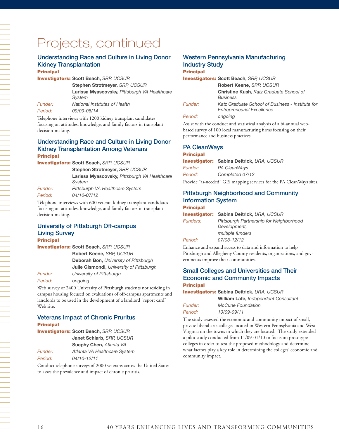## Projects, continued

## Understanding Race and Culture in Living Donor Kidney Transplantation

**Principal** 

Investigators: **Scott Beach,** *SRP, UCSUR*

**Stephen Strotmeyer,** *SRP, UCSUR*

**Larissa Myascovsky,** *Pittsburgh VA Healthcare System*

*Funder: National Institutes of Health Period: 09/09-08/14*

Telephone interviews with 1200 kidney transplant candidates focusing on attitudes, knowledge, and family factors in transplant decision-making.

## Understanding Race and Culture in Living Donor Kidney Transplantation Among Veterans Principal

Investigators: **Scott Beach,** *SRP, UCSUR*

**Stephen Strotmeyer,** *SRP, UCSUR* **Larissa Myascovsky,** *Pittsburgh VA Healthcare System*

*Funder: Pittsburgh VA Healthcare System Period: 04/10-07/12* 

Telephone interviews with 600 veteran kidney transplant candidates focusing on attitudes, knowledge, and family factors in transplant decision-making.

### University of Pittsburgh Off-campus Living Survey **Principal**

Investigators: **Scott Beach,** *SRP, UCSUR*

**Robert Keene,** *SRP, UCSUR* **Deborah Bon,** *University of Pittsburgh* **Julie Gismondi,** *University of Pittsburgh Funder: University of Pittsburgh*

*Period: ongoing*

一个人,我们就是一个人,我们就是一个人,我们就是一个人,我们就是一个人,我们就是一个人,我们就是一个人,我们就是一个人,我们就是一个人,我们就是一个人,我们就是一

Web survey of 2400 University of Pittsburgh students not residing in campus housing focused on evaluations of off-campus apartments and landlords to be used in the development of a landlord "report card" Web site.

## Veterans Impact of Chronic Pruritus Principal

Investigators: **Scott Beach,** *SRP, UCSUR* **Janet Schlarb,** *SRP, UCSUR*

**Suephy Chen,** *Atlanta VA Funder: Atlanta VA Healthcare System*

*Period: 04/10-12/11*

Conduct telephone surveys of 2000 veterans across the United States to asses the prevalence and impact of chronic pruritis.

## Western Pennsylvania Manufacturing Industry Study **Principal**

Investigators: **Scott Beach,** *SRP, UCSUR*

**Robert Keene,** *SRP, UCSUR* **Christine Kush,** *Katz Graduate School of Business Funder: Katz Graduate School of Business - Institute for Entrepreneurial Excellence Period: ongoing*

Assist with the conduct and statistical analysis of a bi-annual webbased survey of 100 local manufacturing firms focusing on their performance and business practices

## PA CleanWays

Principal Investigator: **Sabina Deitrick,** *URA, UCSUR Funder: PA CleanWays Period: Completed 07/12* Provide "as-needed" GIS mapping services for the PA CleanWays sites.

## Pittsburgh Neighborhood and Community Information System **Principal**

|                 | <b>Investigator: Sabina Deitrick, URA, UCSUR</b>        |
|-----------------|---------------------------------------------------------|
| <b>Funders:</b> | Pittsburgh Partnership for Neighborhood<br>Development, |
|                 | multiple funders                                        |
| Period:         | 07/03-12/12                                             |

Enhance and expand access to data and information to help Pittsburgh and Allegheny County residents, organizations, and governments improve their communities.

## Small Colleges and Universities and Their Economic and Community Impacts **Principal**

| <b>Investigators: Sabina Deitrick, URA, UCSUR</b> |                                      |  |
|---------------------------------------------------|--------------------------------------|--|
|                                                   | William Lafe, Independent Consultant |  |
| Funder:                                           | <b>McCune Foundation</b>             |  |
| Period:                                           | 10/09-09/11                          |  |

The study assessed the economic and community impact of small, private liberal arts colleges located in Western Pennsylvania and West Virginia on the towns in which they are located. The study extended a pilot study conducted from 11/09-01/10 to focus on prototype colleges in order to test the proposed methodology and determine what factors play a key role in determining the colleges' economic and community impact.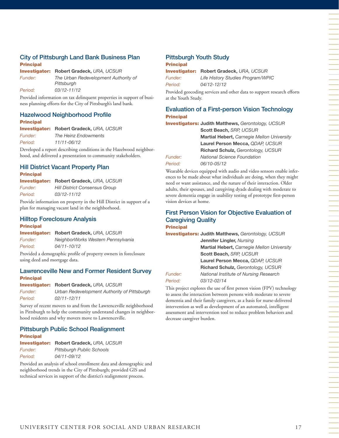## City of Pittsburgh Land Bank Business Plan Principal

Investigator: **Robert Gradeck,** *URA, UCSUR Funder: The Urban Redevelopment Authority of Pittsburgh Period: 03/12-11/12*

Provided information on tax delinquent properties in support of business planning efforts for the City of Pittsburgh's land bank.

## Hazelwood Neighborhood Profile **Principal**

Investigator: **Robert Gradeck,** *URA, UCSUR Funder: The Heinz Endowments Period: 11/11-06/12*

Developed a report describing conditions in the Hazelwood neighborhood, and delivered a presentation to community stakeholders.

## Hill District Vacant Property Plan Principal

Investigator: **Robert Gradeck,** *URA, UCSUR Funder: Hill District Consensus Group Period: 03/12-11/12*

Provide information on property in the Hill District in support of a plan for managing vacant land in the neighborhood.

### Hilltop Foreclosure Analysis Principal

Investigator: **Robert Gradeck,** *URA, UCSUR Funder: NeighborWorks Western Pennsylvania Period: 04/11-10/12*

Provided a demographic profile of property owners in foreclosure using deed and mortgage data.

## Lawrenceville New and Former Resident Survey **Principal**

Investigator: **Robert Gradeck,** *URA, UCSUR*

*Funder: Urban Redevelopment Authority of Pittsburgh Period: 02/11-12/11* 

Survey of recent movers to and from the Lawrenceville neighborhood in Pittsburgh to help the community understand changes in neighborhood residents and why movers move to Lawrenceville.

#### Pittsburgh Public School Realignment **Principal**

| <b>Investigator:</b> | Robert Gradeck, URA, UCSUR       |
|----------------------|----------------------------------|
| Funder:              | <b>Pittsburgh Public Schools</b> |
| Period:              | 04/11-09/12                      |

Provided an analysis of school enrollment data and demographic and neighborhood trends in the City of Pittsburgh; provided GIS and technical services in support of the district's realignment process.

## Pittsburgh Youth Study

## Principal

Investigator: **Robert Gradeck,** *URA, UCSUR Funder: Life History Studies Program/WPIC Period: 04/12-12/12*

Provided geocoding services and other data to support research efforts at the Youth Study.

## Evaluation of a First-person Vision Technology Principal

Investigators: **Judith Matthews,** *Gerontology, UCSUR*

**Scott Beach,** *SRP, UCSUR* **Martial Hebert,** *Carnegie Mellon University* **Laurel Person Mecca,** *QDAP, UCSUR* **Richard Schulz,** *Gerontology, UCSUR Funder: National Science Foundation Period: 06/10-05/12*

Wearable devices equipped with audio and video sensors enable inferences to be made about what individuals are doing, when they might need or want assistance, and the nature of their interaction. Older adults, their spouses, and caregiving dyads dealing with moderate to severe dementia engage in usability testing of prototype first-person vision devices at home.

## First Person Vision for Objective Evaluation of Caregiving Quality **Principal**

Investigators: **Judith Matthews,** *Gerontology, UCSUR* **Jennifer Lingler,** *Nursing* **Martial Hebert,** *Carnegie Mellon University* **Scott Beach,** *SRP, UCSUR* **Laurel Person Mecca,** *QDAP, UCSUR* **Richard Schulz,** *Gerontology, UCSUR Funder: National Institute of Nursing Research*

## *Period: 03/12-02/14*

This project explores the use of first person vision (FPV) technology to assess the interaction between persons with moderate to severe dementia and their family caregivers, as a basis for nurse-delivered intervention as well as development of an automated, intelligent assessment and intervention tool to reduce problem behaviors and decrease caregiver burden.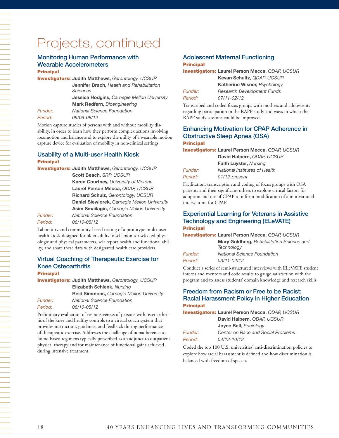## Projects, continued

### Monitoring Human Performance with Wearable Accelerometers **Principal**

Investigators: **Judith Matthews,** *Gerontology, UCSUR* **Jennifer Brach,** *Health and Rehabilitation Sciences* **Jessica Hodgins,** *Carnegie Mellon University* **Mark Redfern,** *Bioengineering Funder: National Science Foundation*

*Period: 09/09-08/12* 

Motion capture studies of persons with and without mobility disability, in order to learn how they perform complex actions involving locomotion and balance and to explore the utility of a wearable motion capture device for evaluation of mobility in non-clinical settings.

## Usability of a Multi-user Health Kiosk **Principal**

Investigators: **Judith Matthews,** *Gerontology, UCSUR* **Scott Beach,** *SRP, UCSUR* **Karen Courtney,** *University of Victoria* **Laurel Person Mecca,** *QDAP, UCSUR* **Richard Schulz,** *Gerontology, UCSUR* **Daniel Siewiorek,** *Carnegie Mellon University* **Asim Smailagic,** *Carnegie Mellon University Funder: National Science Foundation Period: 06/10-05/12*

Laboratory and community-based testing of a prototype multi-user health kiosk designed for older adults to self-monitor selected physiologic and physical parameters, self-report health and functional ability, and share these data with designated health care providers.

## Virtual Coaching of Therapeutic Exercise for Knee Osteoarthritis

**Principal** 

Investigators: **Judith Matthews,** *Gerontology, UCSUR* **Elizabeth Schlenk,** *Nursing* **Reid Simmons,** *Carnegie Mellon University Funder: National Science Foundation Period: 06/10-05/12* 

Preliminary evaluation of responsiveness of persons with osteoarthritis of the knee and healthy controls to a virtual coach system that provides instruction, guidance, and feedback during performance of therapeutic exercise. Addresses the challenge of nonadherence to home-based regimens typically prescribed as an adjunct to outpatient physical therapy and for maintenance of functional gains achieved during intensive treatment.

## Adolescent Maternal Functioning

### **Principal**

Investigators: **Laurel Person Mecca,** *QDAP, UCSUR* **Kevan Schultz,** *QDAP, UCSUR* **Katherine Wisner,** *Psychology Funder: Research Development Funds Period: 07/11-02/12*

Transcribed and coded focus groups with mothers and adolescents regarding participation in the RAPP study and ways in which the RAPP study sessions could be improved.

## Enhancing Motivation for CPAP Adherence in Obstructive Sleep Apnea (OSA) **Principal**

Investigators: **Laurel Person Mecca,** *QDAP, UCSUR* **David Halpern,** *QDAP, UCSUR*

| $=$ $\alpha$ , $\alpha$ , $\alpha$ , $\beta$ , $\alpha$ , $\alpha$ , $\beta$ , $\alpha$ , $\beta$ , $\alpha$ , $\beta$ |
|------------------------------------------------------------------------------------------------------------------------|
| <b>Faith Luyster, Nursing</b>                                                                                          |
| National Institutes of Health                                                                                          |
| 01/12-present                                                                                                          |
|                                                                                                                        |

Facilitation, transcription and coding of focus groups with OSA patients and their significant others to explore critical factors for adoption and use of CPAP to inform modification of a motivational intervention for CPAP.

### Experiential Learning for Veterans in Assistive Technology and Engineering (ELeVATE) **Principal**

Investigators: **Laurel Person Mecca,** *QDAP, UCSUR*

**Mary Goldberg,** *Rehabilitation Science and Technology Funder: National Science Foundation Period: 03/11-02/12*

Conduct a series of semi-structured interviews with ELeVATE student interns and mentors and code results to gauge satisfaction with the program and to assess students' domain knowledge and research skills.

## Freedom from Racism or Free to be Racist: Racial Harassment Policy in Higher Education **Principal**

Investigators: **Laurel Person Mecca,** *QDAP, UCSUR* **David Halpern,** *QDAP, UCSUR* **Joyce Bell,** *Sociology Funder: Center on Race and Social Problems Period: 04/12-10/12*

Coded the top 100 U.S. universities' anti-discrimination policies to explore how racial harassment is defined and how discrimination is balanced with freedom of speech.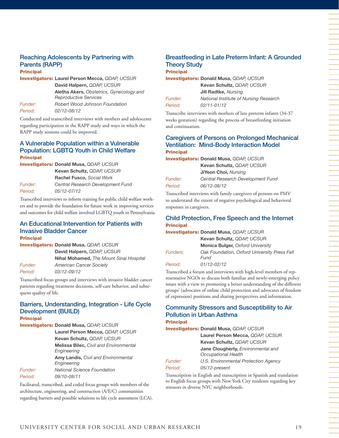## Reaching Adolescents by Partnering with Parents (RAPP)

#### **Principal**

Investigators: **Laurel Person Mecca,** *QDAP, UCSUR* **David Halpern,** *QDAP, UCSUR*

**Aletha Akers,** *Obstetrics, Gynecology and Reproductive Services Funder: Robert Wood Johnson Foundation Period: 02/12-08/12*

Conducted and transcribed interviews with mothers and adolescents regarding participation in the RAPP study and ways in which the RAPP study sessions could be improved.

## A Vulnerable Population within a Vulnerable Population: LGBTQ Youth in Child Welfare **Principal**

Investigators: **Donald Musa,** *QDAP, UCSUR*

|         | Kevan Schultz, QDAP, UCSUR        |  |
|---------|-----------------------------------|--|
|         | Rachel Fusco, Social Work         |  |
| Funder: | Central Research Development Fund |  |
| Period: | 05/12-07/12                       |  |

Transcribed interviews to inform training for public child welfare workers and to provide the foundation for future work in improving services and outcomes for child welfare involved LGBTQ youth in Pennsylvania.

## An Educational Intervention for Patients with Invasive Bladder Cancer

**Principal** 

| <b>Investigators: Donald Musa, QDAP, UCSUR</b> |                                         |
|------------------------------------------------|-----------------------------------------|
|                                                | David Halpern, QDAP, UCSUR              |
|                                                | Nihal Mohamed, The Mount Sinai Hospital |
| Funder:                                        | <b>American Cancer Society</b>          |
| Period:                                        | 03/12-09/12                             |

Transcribed focus groups and interviews with invasive bladder cancer patients regarding treatment decisions, self-care behavior, and subsequent quality of life.

#### Barriers, Understanding, Integration - Life Cycle Development (BUILD) **Principal**

Investigators: **Donald Musa,** *QDAP, UCSUR*

```
Laurel Person Mecca, QDAP, UCSUR
              Kevan Schultz, QDAP, UCSUR
              Melissa Bilec, Civil and Environmental 
              Engineering
              Amy Landis, Civil and Environmental 
              Engineering
Funder: National Science Foundation
Period: 09/10-08/11
```
Facilitated, transcribed, and coded focus groups with members of the architecture, engineering, and construction (A/E/C) communities regarding barriers and possible solutions to life cycle assessment (LCA).

## Breastfeeding in Late Preterm Infant: A Grounded Theory Study **Principal**

Investigators: **Donald Musa,** *QDAP, UCSUR*

**Kevan Schultz,** *QDAP, UCSUR* **Jill Radtke,** *Nursing Funder: National Institute of Nursing Research Period: 02/11-01/12*

Transcribe interviews with mothers of late preterm infants (34-37 weeks gestation) regarding the process of breastfeeding initiation and continuation.

## Caregivers of Persons on Prolonged Mechanical Ventilation: Mind-Body Interaction Model **Principal**

Investigators: **Donald Musa,** *QDAP, UCSUR* **Kevan Schultz,** *QDAP, UCSUR* **JiYeon Choi,** *Nursing Funder: Central Research Development Fund Period: 06/12-08/12*

Transcribed interviews with family caregivers of persons on PMV to understand the extent of negative psychological and behavioral responses in caregivers.

## Child Protection, Free Speech and the Internet **Principal**

|                 | <b>Investigators: Donald Musa, QDAP, UCSUR</b>       |
|-----------------|------------------------------------------------------|
|                 | Kevan Schultz, QDAP, UCSUR                           |
|                 | <b>Monica Bulger, Oxford University</b>              |
| <b>Funders:</b> | Oak Foundation, Oxford University Press Fell<br>Fund |
| Period:         | $01/12 - 02/12$                                      |

Transcribed a forum and interviews with high-level members of representative NGOs to discuss both familiar and newly-emerging policy issues with a view to promoting a better understanding of the different groups' (advocates of online child protection and advocates of freedom of expression) positions and sharing perspectives and information.

### Community Stressors and Susceptibility to Air Pollution in Urban Asthma **Principal**

Investigators: **Donald Musa,** *QDAP, UCSUR*

**Laurel Person Mecca,** *QDAP, UCSUR* **Kevan Schultz,** *QDAP, UCSUR* **Jane Clougherty,** *Environmental and Occupational Health Funder: U.S. Environmental Protection Agency*

*Period: 05/12-present*

Transcription in English and transcription in Spanish and translation to English focus groups with New York City residents regarding key stressors in diverse NYC neighborhoods.

一个人,我们就是一个人,我们就是一个人,我们就是一个人,我们就是一个人,我们就是一个人,我们就是一个人,我们就是一个人,我们就是一个人,我们就是一个人,我们就是一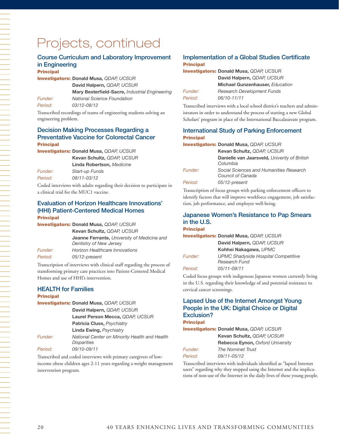# Projects, continued

## Course Curriculum and Laboratory Improvement in Engineering

#### **Principal**

Investigators: **Donald Musa,** *QDAP, UCSUR* **David Halpern,** *QDAP, UCSUR* **Mary Besterfield-Sacre,** *Industrial Engineering*

*Funder: National Science Foundation Period: 03/12-08/12*

Transcribed recordings of teams of engineering students solving an engineering problem.

## Decision Making Processes Regarding a Preventative Vaccine for Colorectal Cancer **Principal**

Investigators: **Donald Musa,** *QDAP, UCSUR* **Kevan Schultz,** *QDAP, UCSUR*

**Linda Robertson,** *Medicine Funder: Start-up Funds*

*Period: 08/11-03/12*

Coded interviews with adults regarding their decision to participate in a clinical trial for the MUC1 vaccine.

## Evaluation of Horizon Healthcare Innovations' (HHI) Patient-Centered Medical Homes Principal

|                | <b>Investigators: Donald Musa, QDAP, UCSUR</b>                                |
|----------------|-------------------------------------------------------------------------------|
|                | Kevan Schultz, QDAP, UCSUR                                                    |
|                | <b>Jeanne Ferrante, University of Medicine and</b><br>Dentistry of New Jersey |
| <i>Funder:</i> | <b>Horizon Healthcare Innovations</b>                                         |
| Period:        | 05/12-present                                                                 |

Transcription of interviews with clinical staff regarding the process of transforming primary care practices into Patient-Centered Medical Homes and use of HHI's intervention.

## HEALTH for Families

#### **Principal**

| <b>Investigators: Donald Musa, QDAP, UCSUR</b> |                                                                     |  |  |  |
|------------------------------------------------|---------------------------------------------------------------------|--|--|--|
|                                                | David Halpern, QDAP, UCSUR                                          |  |  |  |
|                                                | Laurel Person Mecca, QDAP, UCSUR                                    |  |  |  |
|                                                | Patricia Cluss, Psychiatry                                          |  |  |  |
|                                                | <b>Linda Ewing, Psychiatry</b>                                      |  |  |  |
| Funder:                                        | National Center on Minority Health and Health<br><b>Disparities</b> |  |  |  |
| Period:                                        | 09/10-09/11                                                         |  |  |  |

Transcribed and coded interviews with primary caregivers of lowincome obese children ages 2-11 years regarding a weight management intervention program.

#### Implementation of a Global Studies Certificate **Principal**

|                | <b>Investigators: Donald Musa, QDAP, UCSUR</b> |
|----------------|------------------------------------------------|
|                | David Halpern, QDAP, UCSUR                     |
|                | <b>Michael Gunzenhauser, Education</b>         |
| <i>Funder:</i> | <b>Research Development Funds</b>              |
| Period:        | 06/10-11/11                                    |

Transcribed interviews with a local school district's teachers and administrators in order to understand the process of starting a new Global Scholars' program in place of the International Baccalaureate program.

## International Study of Parking Enforcement Principal

#### Investigators: **Donald Musa,** *QDAP, UCSUR*

|                | Kevan Schultz, QDAP, UCSUR                                   |
|----------------|--------------------------------------------------------------|
|                | Danielle van Jaarsveld, Univerity of British<br>Columbia     |
| <i>Funder:</i> | Social Sciences and Humanities Research<br>Council of Canada |
| Period:        | 05/12-present                                                |

Transcription of focus groups with parking enforcement officers to identify factors that will improve workforce engagement, job satisfaction, job performance, and employee well-being.

## Japanese Women's Resistance to Pap Smears in the U.S.

## **Principal**

Investigators: **Donald Musa,** *QDAP, UCSUR* **David Halpern,** *QDAP, UCSUR* **Kohhei Nakagawa,** *UPMC Funder: UPMC Shadyside Hospital Competitive Research Fund*

*Period: 05/11-09/11*

Coded focus groups with indigenous Japanese women currently living in the U.S. regarding their knowledge of and potential resistance to cervical cancer screenings.

## Lapsed Use of the Internet Amongst Young People in the UK: Digital Choice or Digital Exclusion?

#### Principal

Investigators: **Donald Musa,** *QDAP, UCSUR* **Kevan Schultz,** *QDAP, UCSUR* **Rebecca Eynon,** *Oxford University Funder: The Nominet Trust*

| , unu <del>c</del> n                                                    | <i>THE INVITIMEL HUSL</i>                                                                                                                                                                                                          |  |  |  |
|-------------------------------------------------------------------------|------------------------------------------------------------------------------------------------------------------------------------------------------------------------------------------------------------------------------------|--|--|--|
| Period:                                                                 | 09/11-05/12                                                                                                                                                                                                                        |  |  |  |
| Transcribed interviews with individuals identified as "lapsed Internet" |                                                                                                                                                                                                                                    |  |  |  |
|                                                                         | $\mathcal{L}$ , and the contract of the contract of the contract of the contract of the contract of the contract of the contract of the contract of the contract of the contract of the contract of the contract of the contract o |  |  |  |

users" regarding why they stopped using the Internet and the implications of non-use of the Internet in the daily lives of these young people.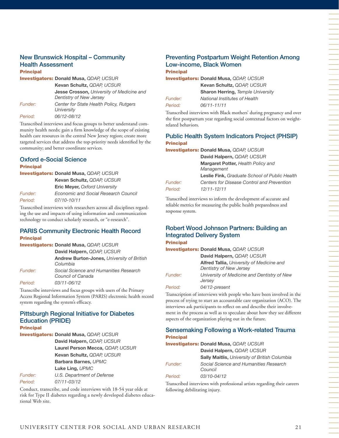#### New Brunswick Hospital – Community Health Assessment Principal

| .                     |                                                                                    |
|-----------------------|------------------------------------------------------------------------------------|
|                       | <b>Investigators: Donald Musa, QDAP, UCSUR</b>                                     |
|                       | Kevan Schultz, QDAP, UCSUR                                                         |
|                       | <b>Jesse Crosson, University of Medicine and</b><br><b>Dentistry of New Jersey</b> |
| <i><b>Funder:</b></i> | Center for State Health Policy, Rutgers<br>University                              |
| Period:               | 06/12-08/12                                                                        |
|                       |                                                                                    |

Transcribed interviews and focus groups to better understand community health needs; gain a firm knowledge of the scope of existing health care resources in the central New Jersey region; create more targeted services that address the top-priority needs identified by the community; and better coordinate services.

## Oxford e-Social Science

### **Principal**

| <b>Investigators: Donald Musa, QDAP, UCSUR</b> |                                             |  |
|------------------------------------------------|---------------------------------------------|--|
|                                                | Kevan Schultz, QDAP, UCSUR                  |  |
|                                                | <b>Eric Meyer, Oxford University</b>        |  |
| Funder:                                        | <b>Economic and Social Research Council</b> |  |
| Period:                                        | 07/10-10/11                                 |  |

Transcribed interviews with researchers across all disciplines regarding the use and impacts of using information and communication technology to conduct scholarly research, or "e-research".

## PARIS Community Electronic Health Record **Principal**

|         | <b>Investigators: Donald Musa, QDAP, UCSUR</b>                |
|---------|---------------------------------------------------------------|
|         | David Halpern, QDAP, UCSUR                                    |
|         | <b>Andrew Burton-Jones, University of British</b><br>Columbia |
| Funder: | Social Science and Humanities Research<br>Council of Canada   |
| Period: | 03/11-06/12                                                   |
|         |                                                               |

Transcribe interviews and focus groups with users of the Primary Access Regional Information System (PARIS) electronic health record system regarding the system's efficacy.

### Pittsburgh Regional Initiative for Diabetes Education (PRIDE) **Principal**

```
Investigators: Donald Musa, QDAP, UCSUR
             David Halpern, QDAP, UCSUR
             Laurel Person Mecca, QDAP, UCSUR
             Kevan Schultz, QDAP, UCSUR
             Barbara Barnes, UPMC
             Luke Ling, UPMC
Funder: U.S. Department of Defense
Period: 07/11-03/12
```
Conduct, transcribe, and code interviews with 18-54 year olds at risk for Type II diabetes regarding a newly developed diabetes educational Web site.

## Preventing Postpartum Weight Retention Among Low-income, Black Women **Principal**

Investigators: **Donald Musa,** *QDAP, UCSUR* **Kevan Schultz,** *QDAP, UCSUR*

|                | SI |
|----------------|----|
| <i>Funder:</i> | N. |
| Period:        | Οť |

**Sharon Herring,** *Temple University Funder: National Institutes of Health Period: 06/11-11/11*

Transcribed interviews with Black mothers' during pregnancy and over the first postpartum year regarding social contextual factors on weightrelated behaviors.

## Public Health System Indicators Project (PHSIP) **Principal**

| <b>Investigators: Donald Musa, QDAP, UCSUR</b> |                                                         |  |
|------------------------------------------------|---------------------------------------------------------|--|
| David Halpern, QDAP, UCSUR                     |                                                         |  |
|                                                | <b>Margaret Potter, Health Policy and</b><br>Management |  |
|                                                | <b>Leslie Fink, Graduate School of Public Health</b>    |  |
| Funder:                                        | Centers for Disease Control and Prevention              |  |
| Period:                                        | 12/11-12/11                                             |  |

Transcribed interviews to inform the development of accurate and reliable metrics for measuring the public health preparedness and response system.

## Robert Wood Johnson Partners: Building an Integrated Delivery System

#### Principal

| <b>Investigators: Donald Musa, QDAP, UCSUR</b> |                                                                      |  |
|------------------------------------------------|----------------------------------------------------------------------|--|
|                                                | David Halpern, QDAP, UCSUR                                           |  |
|                                                | Alfred Tallia, University of Medicine and<br>Dentistry of New Jersey |  |
| Funder:                                        | University of Medicine and Dentistry of New<br>Jersey                |  |
| Period:                                        | 04/12-present                                                        |  |

Transcription of interviews with people who have been involved in the process of trying to start an accountable care organization (ACO). The interviews ask participants to reflect on and describe their involvement in the process as well as to speculate about how they see different aspects of the organization playing out in the future.

## Sensemaking Following a Work-related Trauma **Principal**

Investigators: **Donald Musa,** *QDAP, UCSUR*

|         | David Halpern, QDAP, UCSUR                           |
|---------|------------------------------------------------------|
|         | <b>Sally Maitlis, University of British Columbia</b> |
| Funder: | Social Science and Humanities Research<br>Council    |
| Period: | 03/10-04/12                                          |

Transcribed interviews with professional artists regarding their careers following debilitating injury.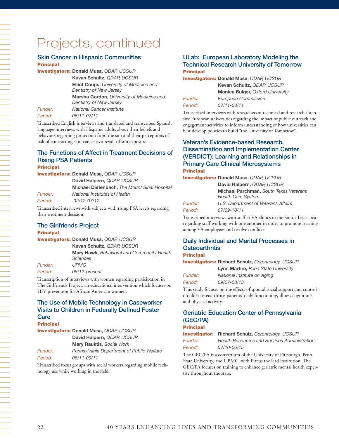## Projects, continued

#### Skin Cancer in Hispanic Communities Principal

Investigators: **Donald Musa,** *QDAP, UCSUR*

**Kevan Schultz,** *QDAP, UCSUR*

**Elliot Coups,** *University of Medicine and Dentistry of New Jersey*

**Marsha Gordon,** *University of Medicine and Dentistry of New Jersey*

*Funder: National Cancer Institute*

*Period: 06/11-07/11*

Transcribed English interviews and translated and transcribed Spanish language interviews with Hispanic adults about their beliefs and behaviors regarding protection from the sun and their perceptions of risk of contracting skin cancer as a result of sun exposure.

## The Functions of Affect in Treatment Decisions of Rising PSA Patients

**David Halpern,** *QDAP, UCSUR*

Principal

Investigators: **Donald Musa,** *QDAP, UCSUR*

*Funder: National Institutes of Health* 

*Period: 02/12-07/12*

Transcribed interviews with subjects with rising PSA levels regarding their treatment decision.

#### The Girlfriends Project **Principal**

Investigators: **Donald Musa,** *QDAP, UCSUR*

**Kevan Schultz,** *QDAP, UCSUR*

**Mary Hawk,** *Behavioral and Community Health Sciences*

**Michael Diefenbach,** *The Mount Sinai Hospital*

*Funder: UPMC Period: 06/12-present*

Transcription of interviews with women regarding participation in The Girlfriends Project, an educational intervention which focuses on HIV prevention for African American women.

## The Use of Mobile Technology in Caseworker Visits to Children in Federally Defined Foster **Care**

Principal

Investigators: **Donald Musa,** *QDAP, UCSUR* **David Halpern,** *QDAP, UCSUR* **Mary Rauktis,** *Social Work Funder: Pennsylvania Department of Public Welfare*

*Period: 06/11-09/11*

Transcribed focus groups with social workers regarding mobile technology use while working in the field.

## ULab: European Laboratory Modeling the Technical Research University of Tomorrow **Principal**

Investigators: **Donald Musa,** *QDAP, UCSUR*

|                | Kevan Schultz, QDAP, UCSUR              |
|----------------|-----------------------------------------|
|                | <b>Monica Bulger, Oxford University</b> |
| <i>Funder:</i> | European Commission                     |
| Period:        | 07/11-08/11                             |

Transcribed interviews with researchers at technical and research-intensive European universities regarding the impact of public outreach and engagement activities to inform understanding of how universities can best develop policies to build "the University of Tomorrow".

## Veteran's Evidence-based Research, Dissemination and Implementation Center (VERDICT): Learning and Relationships in Primary Care Clinical Microsystems Principal

Investigators: **Donald Musa,** *QDAP, UCSUR*

|                | David Halpern, QDAP, UCSUR                                          |
|----------------|---------------------------------------------------------------------|
|                | Michael Parchman, South Texas Veterans<br><b>Health Care System</b> |
| <i>Funder:</i> | U.S. Department of Veterans Affairs                                 |
| Period:        | 07/09-10/11                                                         |

Transcribed interviews with staff at VA clinics in the South Texas area regarding staff working with one another in order to promote learning among VA employees and resolve conflicts.

## Daily Individual and Marital Processes in **Osteoarthritis**

#### **Principal**

Investigators: **Richard Schulz,** *Gerontology, UCSUR*

| Funder: |  |
|---------|--|
| Period: |  |

**National Institute on Aging** *Period: 09/07-08/13*

**Lynn Martire,** *Penn State University*

This study focuses on the effects of spousal social support and control on older osteoarthritis patients' daily functioning, illness cognitions, and physical activity.

## Geriatric Education Center of Pennsylvania (GEC/PA)

### **Principal**

Investigator: **Richard Schulz,** *Gerontology, UCSUR*

*Funder: Health Resources and Services Administration Period: 07/10-06/15*

The GEC/PA is a consortium of the University of Pittsburgh, Penn State University, and UPMC, with Pitt as the lead institution. The GEC/PA focuses on training to enhance geriatric mental health expertise throughout the state.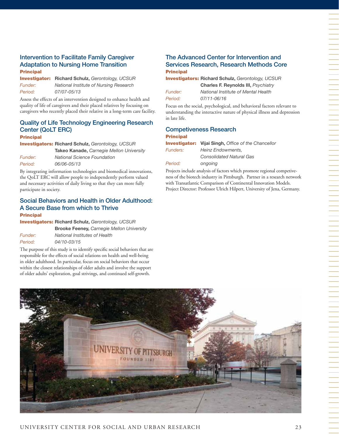## Intervention to Facilitate Family Caregiver Adaptation to Nursing Home Transition **Principal**

Investigator: **Richard Schulz,** *Gerontology, UCSUR Funder: National Institute of Nursing Research Period: 07/07-05/13*

Assess the effects of an intervention designed to enhance health and quality of life of caregivers and their placed relatives by focusing on caregivers who recently placed their relative in a long-term care facility.

## Quality of Life Technology Engineering Research Center (QoLT ERC)

#### **Principal**

Investigators: **Richard Schulz,** *Gerontology, UCSUR* **Takeo Kanade,** *Carnegie Mellon University*

| <i>Funder:</i> | <b>National Science Foundation</b> |
|----------------|------------------------------------|
| Period:        | 06/06-05/13                        |

By integrating information technologies and biomedical innovations, the QoLT ERC will allow people to independently perform valued and necessary activities of daily living so that they can more fully participate in society.

## Social Behaviors and Health in Older Adulthood: A Secure Base from which to Thrive **Principal**

Investigators: **Richard Schulz,** *Gerontology, UCSUR* **Brooke Feeney,** *Carnegie Mellon University Funder: National Institutes of Health Period: 04/10-03/15*

The purpose of this study is to identify specific social behaviors that are responsible for the effects of social relations on health and well-being in older adulthood. In particular, focus on social behaviors that occur within the closest relationships of older adults and involve the support of older adults' exploration, goal strivings, and continued self-growth.

## The Advanced Center for Intervention and Services Research, Research Methods Core **Principal**

Investigators: **Richard Schulz,** *Gerontology, UCSUR* **Charles F. Reynolds III,** *Psychiatry*

| Funder: | N. |
|---------|----|
| Period: | 07 |

*Funder: National Institute of Mental Health Period: 07/11-06/16*

Focus on the social, psychological, and behavioral factors relevant to understanding the interactive nature of physical illness and depression in late life.

## Competiveness Research Principal

|                 | <b>Investigator:</b> Vijai Singh, Office of the Chancellor |
|-----------------|------------------------------------------------------------|
| <b>Funders:</b> | Heinz Endowments.                                          |
|                 | <b>Consolidated Natural Gas</b>                            |
| Period:         | ongoing                                                    |

Projects include analysis of factors which promote regional competiveness of the biotech industry in Pittsburgh. Partner in a research network with Transatlantic Comparison of Continental Innovation Models. Project Director: Professor Ulrich Hilpert, University of Jena, Germany.

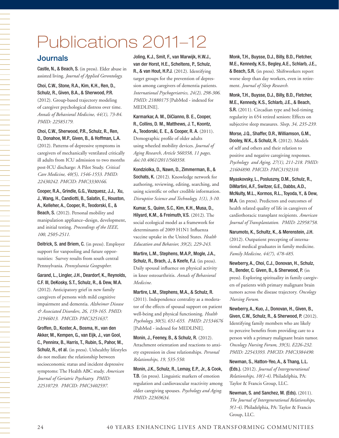# Publications 2011–12

## Journals

Castle, N., & Beach, S. (in press). Elder abuse in assisted living. *Journal of Applied Gerontology.*

#### Choi, C.W., Stone, R.A., Kim, K.H., Ren, D., Schulz, R., Given, B.A., & Sherwood, P.R.

(2012). Group-based trajectory modeling of caregiver psychological distress over time. *Annals of Behavioral Medicine, 44(1), 73-84*. *PMID: 22585179.*

#### Choi, C.W., Sherwood, P.R., Schulz, R., Ren, D., Donahoe, M.P., Given, B., & Hoffman, L.A.

(2012). Patterns of depressive symptoms in caregivers of mechanically ventilated critically ill adults from ICU admission to two months post-ICU discharge: A Pilot Study. *Critical Care Medicine, 40(5), 1546-1553. PMID: 22430242. PMCID: PMC3330166.*

Cooper, R.A., Grindle, G.G., Vazquesz, J.J., Xu, J., Wang, H., Candiotti, B., Salatin, E., Houston, A., Kelleher, A., Cooper, R., Teodorski, E., & Beach, S. (2012). Personal mobility and manipulation appliance–design, development, and initial testing. *Proceedings of the IEEE, 100, 2505-2511.* 

Deitrick, S. and Briem, C. (in press). Employer support for vanpooling and future opportunities: Survey results from south central Pennsylvania. *Pennsylvania Geographer.*

Garand, L., Lingler, J.H., Deardorf, K., Reynolds, C.F. III, DeKosky, S.T., Schulz, R., & Dew, M.A. (2012). Anticipatory grief in new family caregivers of persons with mild cognitive impairment and dementia. *Alzheimer Disease & Associated Disorders, 26, 159-165. PMID: 21946013. PMCID: PMC3251637.*

Groffen, D., Koster, A., Bosma, H., van den Akker, M., Kempen, G., van Eijk, J., van Gool, C., Penninx, B., Harris, T., Rubin, S., Pahor, M., Schulz, R., et al. (in press). Unhealthy lifestyles do not mediate the relationship between socioeconomic status and incident depressive symptoms: The Health ABC study. *American Journal of Geriatric Psychiatry. PMID: 22510729. PMCID: PMC3402597.*

Joling, K.J., Smit, F., van Marwijk, H.W.J., van der Horst, H.E., Scheltens, P., Schulz, R., & van Hout, H.P.J. (2012). Identifying target groups for the prevention of depression among caregivers of dementia patients. *International Psychogeriatrics, 24(2), 298-306. PMID: 21880175* [PubMed - indexed for MEDLINE].

Karmarkar, A. M., DiCianno, B. E., Cooper, R., Collins, D. M., Matthews, J. T., Koontz, A., Teodorski, E. E., & Cooper, R. A. (2011). Demographic profile of older adults using wheeled mobility devices. *Journal of Aging Research, Article 560358, 11 pages, doi:10.4061/2011/560358.*

Kondziolka, D., Nawn, D., Zimmerman, B., & Sochats, K. (2012). Knowledge network for authoring, reviewing, editing, searching, and using scientific or other credible information. *Disruptive Science and Technology, 1(1), 3-10.*

Kumar, S., Quinn, S.C., Kim, K.H., Musa, D., Hilyard, K.M., & Freimuth, V.S. (2012). The social ecological model as a framework for determinants of 2009 H1N1 Influenza vaccine uptake in the United States. *Health Education and Behavior, 39(2), 229-243.* 

Martire, L.M., Stephens, M.A.P., Mogle, J.A., Schulz, R., Brach, J., & Keefe, F.J. (in press). Daily spousal influence on physical activity in knee osteoarthritis. *Annals of Behavioral Medicine.*

#### Martire, L.M., Stephens, M.A., & Schulz, R.

(2011). Independence centrality as a moderator of the effects of spousal support on patient well-being and physical functioning. *Health Psychology, 30(5), 651-655. PMID: 21534676* [PubMed - indexed for MEDLINE].

Monin, J., Feeney, B., & Schulz, R. (2012). Attachment orientation and reactions to anxiety expression in close relationships. *Personal Relationships, 19, 535-550.*

Monin, J.K., Schulz, R., Lemay, E.P., Jr., & Cook, T.B. (in press). Linguistic markers of emotion regulation and cardiovascular reactivity among older caregiving spouses. *Psychology and Aging. PMID: 22369634.*

Monk, T.H., Buysse, D.J., Billy, B.D., Fletcher, M.E., Kennedy, K.S., Begley, A.E., Schlarb, J.E., & Beach, S.R. (in press). Shiftworkers report worse sleep than day workers, even in retirement. *Journal of Sleep Research.* 

Monk, T.H., Buysse, D.J., Billy, B.D., Fletcher, M.E., Kennedy, K.S., Schlarb, J.E., & Beach, S.R. (2011). Circadian type and bed-timing regularity in 654 retired seniors: Effects on subjective sleep measures. *Sleep, 34, 235-239.* 

Morse, J.Q., Shaffer, D.R., Williamson, G.M., Dooley, W.K., & Schulz, R. (2012). Models of self and others and their relation to positive and negative caregiving responses. *Psychology and Aging, 27(1), 211-218. PMID: 21604890. PMCID: PMC3192310.*

Myaskovsky, L., Posluszny, D.M., Schulz, R., DiMartini, A.F., Switzer, G.E., Dabbs, A.D., McNulty, M.L., Kormos, R.L., Toyoda, Y., & Dew, M.A. (in press). Predictors and outcomes of health related quality of life in caregivers of cardiothoracic transplant recipients. *American Journal of Transplantation. PMID: 22958758.*

Narumoto, K., Schultz, K., & Merenstein, J.H. (2012). Outpatient precepting of international medical graduates in family medicine. *Family Medicine, 44(7), 478-485.*

Newberry, A., Choi, C.J., Donovan, H., Schulz, R., Bender, C. Given, B., & Sherwood, P. (in press). Exploring spirituality in family caregivers of patients with primary malignant brain tumors across the disease trajectory. *Oncology Nursing Forum.*

Newberry, A., Kuo, J., Donovan, H., Given, B., Given, C.W., Schulz, R., & Sherwood, P. (2012). Identifying family members who are likely to perceive benefits from providing care to a person with a primary malignant brain tumor. *Oncology Nursing Forum, 39(3), E226-232. PMID: 22543393. PMCID: PMC3384490.*

Newman, S., Hatton-Yeo, A., & Thang, L.L. (Eds.). (2012). *Journal of Intergenerational Relationships, 10(1-4)*. Philadelphia, PA: Taylor & Francis Group, LLC.

Newman, S. and Sanchez, M. (Eds). (2011). *The Journal of Intergenerational Relationships, 9(1-4)*. Philadelphia, PA: Taylor & Francis Group, LLC.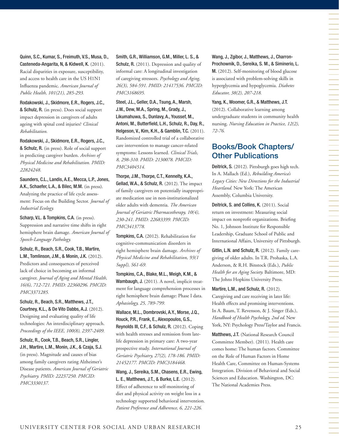Quinn, S.C., Kumar, S., Freimuth, V.S., Musa, D., Casteneda-Angarita, N, & Kidwell, K. (2011). Racial disparities in exposure, susceptibility, and access to health care in the US H1N1 Influenza pandemic. *American Journal of Public Health, 101(21), 285-293.*

Rodakowski, J., Skidmore, E.R., Rogers, J.C., & Schulz, R. (in press). Does social support impact depression in caregivers of adults ageing with spinal cord injuries? *Clinical Rehabilitation.*

Rodakowski, J., Skidmore, E.R., Rogers, J.C., & Schulz, R. (in press). Role of social support in predicting caregiver burden. *Archives of Physical Medicine and Rehabilitation. PMID: 22824248.*

Saunders, C.L., Landis, A.E., Mecca, L.P., Jones, A.K., Schaefer, L.A., & Bilec, M.M. (in press). Analyzing the practice of life cycle assessment: Focus on the Building Sector. *Journal of Industrial Ecology.*

Scharp, V.L. & Tompkins, C.A. (in press). Suppression and narrative time shifts in right hemisphere brain damage. *American Journal of Speech-Language Pathology.*

Schulz, R., Beach, S.R., Cook, T.B., Martire, L.M., Tomlinson, J.M., & Monin, J.K. (2012). Predictors and consequences of perceived lack of choice in becoming an informal caregiver. *Journal of Aging and Mental Health, 16(6), 712-721. PMID: 22360296. PMCID: PMC3371285.*

Schulz, R., Beach, S.R., Matthews, J.T., Courtney, K.L., & De Vito Dabbs, A.J. (2012). Designing and evaluating quality of life technologies: An interdisciplinary approach. *Proceedings of the IEEE, 100(8), 2397-2409.*

Schulz, R., Cook, T.B., Beach, S.R., Lingler, J.H., Martire, L.M., Monin, J.K., & Czaja, S.J. (in press). Magnitude and causes of bias among family caregivers rating Alzheimer's Disease patients. *American Journal of Geriatric Psychiatry. PMID: 22237250. PMCID: PMC3330137.*

Smith, G.R., Williamson, G.M., Miller, L. S., & Schulz, R. (2011). Depression and quality of informal care: A longitudinal investigation of caregiving stressors. *Psychology and Aging, 26(3), 584-591. PMID: 21417536. PMCID: PMC3168695.* 

Steel, J.L., Geller, D.A., Tsung, A., Marsh, J.W., Dew, M.A., Spring, M., Grady, J., Likumahuwa, S., Dunlavy, A., Youssef, M., Antoni, M., Butterfield, L.H., Schulz, R., Day, R., Helgeson, V., Kim, K.H., & Gamblin, T.C. (2011). Randomized controlled trial of a collaborative care intervention to manage cancer-related symptoms: Lessons learned. *Clinical Trials, 8, 298-310. PMID: 2130078. PMCID: PMC3404514.*

Thorpe, J.M., Thorpe, C.T., Kennelty, K.A., Gellad, W.A., & Schulz, R. (2012). The impact of family caregivers on potentially inappropriate medication use in non-institutionalized older adults with dementia. *The American Journal of Geriatric Pharmacotherapy, 10(4), 230-241. PMID: 22683399. PMCID: PMC3413778.*

Tompkins, C.A. (2012). Rehabilitation for cognitive-communication disorders in right hemisphere brain damage. *Archives of Physical Medicine and Rehabilitation, 93(1 Suppl), S61-69.* 

Tompkins, C.A., Blake, M.L., Meigh, K.M., & Wambaugh, J. (2011). A novel, implicit treatment for language comprehension processes in right hemisphere brain damage: Phase I data. *Aphasiology, 25, 789-799.* 

Wallace, M.L., Dombrovski, A.Y., Morse, J.Q., Houck, P.R., Frank, E., Alexopoulos, G.S., Reynolds III, C.F., & Schulz, R. (2012). Coping with health stresses and remission from latelife depression in primary care: A two-year prospective study. *International Journal of Geriatric Psychiatry, 27(2), 178-186. PMID: 21452177. PMCID: PMC3184468.*

Wang, J., Sereika, S.M., Chasens, E.R., Ewing, L. E., Matthews, J.T., & Burke, L.E. (2012). Effect of adherence to self-monitoring of diet and physical activity on weight loss in a technology supported behavioral intervention. *Patient Preference and Adherence, 6, 221-226.*

Wang, J., Zgibor, J., Matthews, J., Charron-Prochownik, D., Sereika, S. M., & Siminerio, L. M. (2012). Self-monitoring of blood glucose

is associated with problem-solving skills in hyperglycemia and hypoglycemia. *Diabetes Educator, 38(2), 207-218.*

Yang, K., Woomer, G.R., & Matthews, J.T. (2012). Collaborative learning among undergraduate students in community health nursing. *Nursing Education in Practice, 12(2), 72-76.*

## Books/Book Chapters/ Other Publications

Deitrick, S. (2012). Pittsburgh goes high tech. In A. Mallach (Ed.), *Rebuilding America's Legacy Cities: New Directions for the Industrial Heartland.* New York: The American Assembly, Columbia University.

Deitrick, S. and Collins, K. (2011). Social return on investment: Measuring social impact on nonprofit organizations. Briefing No. 1, Johnson Institute for Responsible Leadership, Graduate School of Public and International Affairs, University of Pittsburgh.

Gitlin, L.N. and Schulz, R. (2012). Family caregiving of older adults. In T.R. Prohaska, L.A. Anderson, & R.H. Binstock (Eds.), *Public Health for an Aging Society.* Baltimore, MD: The Johns Hopkins University Press.

Martire, L.M., and Schulz, R. (2012). Caregiving and care receiving in later life: Health effects and promising interventions. In A. Baum, T. Revenson, & J. Singer (Eds.), *Handbook of Health Psychology, 2nd ed*. New York, NY: Psychology Press/Taylor and Francis.

Matthews, J.T. (National Research Council Committee Member). (2011). Health care comes home: The human factors. Committee on the Role of Human Factors in Home Health Care, Committee on Human-Systems Integration. Division of Behavioral and Social Sciences and Education. Washington, DC: The National Academies Press.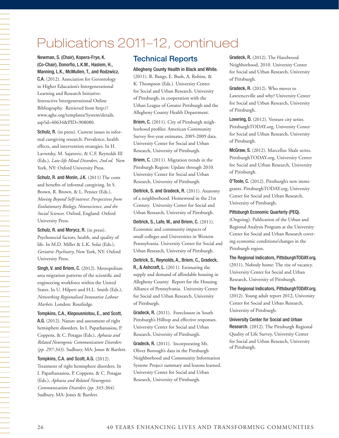## Publications 2011–12, continued

Newman, S. (Chair), Kopera-Frye, K. (Co-Chair), Donorfio, L.K.M., Haslem, H., Manning, L.K., McMullen, T., and Rodzwicz, C.A. (2012). Association for Gerontology in Higher Education's Intergenerational Learning and Research Initiative: Interactive Intergenerational Online Bibliography. Retrieved from http:// www.aghe.org/templates/System/details. asp?id=40634&PID=908080.

Schulz, R. (in press). Current issues in informal caregiving research: Prevalence, health effects, and intervention strategies. In H. Lavretsky, M. Sajatovic, & C.F. Reynolds III (Eds.), *Late-life Mood Disorders, 2nd ed.* New York, NY: Oxford University Press.

Schulz, R. and Monin, J.K. (2011) The costs and benefits of informal caregiving. In S. Brown, R. Brown, & L. Penner (Eds.), *Moving Beyond Self-interest: Perspectives from Evolutionary Biology, Neuroscience, and the Social Sciences.* Oxford, England: Oxford University Press.

Schulz, R. and Morycz, R. (in press). Psychosocial factors, health, and quality of life. In M.D. Miller & L.K. Solai (Eds.), *Geriatric Psychiatry*. New York, NY: Oxford University Press.

Singh, V. and Briem, C. (2012). Metropolitan area migration patterns of the scientific and engineering workforce within the United States. In U. Hilpert and H.L. Smith (Eds.), *Networking Regionalised Innovative Labour Markets*. London: Routledge.

Tompkins, C.A., Klepousniotou, E., and Scott, A.G. (2012). Nature and assessment of right hemisphere disorders. In I. Papathanasiou, P. Coppens, & C. Potagas (Eds.), *Aphasia and Related Neurogenic Communication Disorders (pp. 297-343)*. Sudbury, MA: Jones & Bartlett.

## Tompkins, C.A. and Scott, A.G. (2012).

Treatment of right hemisphere disorders. In I. Papathanasiou, P. Coppens, & C. Potagas (Eds.), *Aphasia and Related Neurogenic Communication Disorders (pp. 345-364)*. Sudbury, MA: Jones & Bartlett.

## Technical Reports

Allegheny County Health in Black and White. (2011). R. Bangs, E. Bush, A. Robins, & K. Thompson (Eds.). University Center for Social and Urban Research, University of Pittsburgh, in cooperation with the Urban League of Greater Pittsburgh and the Allegheny County Health Department.

Briem, C. (2011). City of Pittsburgh neighborhood profiles: American Community Survey five-year estimates, 2005-2009 data. University Center for Social and Urban Research, University of Pittsburgh.

Briem, C. (2011). Migration trends in the Pittsburgh Region: Update through 2010. University Center for Social and Urban Research, University of Pittsburgh.

Deitrick, S. and Gradeck, R. (2011). Anatomy of a neighborhood: Homewood in the 21st Century. University Center for Social and Urban Research, University of Pittsburgh.

Deitrick, S., Lafe, W., and Briem, C. (2011). Economic and community impacts of small colleges and Universities in Western Pennsylvania. University Center for Social and Urban Research, University of Pittsburgh.

Deitrick, S., Reynolds, A., Briem, C., Gradeck, R., & Ashcraft, L. (2011). Estimating the supply and demand of affordable housing in Allegheny County. Report for the Housing Alliance of Pennsylvania. University Center for Social and Urban Research, University of Pittsburgh.

Gradeck, R. (2011). Foreclosure in South Pittsburgh's Hilltop and effective responses. University Center for Social and Urban Research, University of Pittsburgh.

Gradeck, R. (2011). Incorporating Mt. Oliver Borough's data in the Pittsburgh Neighborhood and Community Information System: Project summary and lessons learned. University Center for Social and Urban Research, University of Pittsburgh.

Gradeck, R. (2012). The Hazelwood Neighborhood, 2010. University Center for Social and Urban Research, University of Pittsburgh.

Gradeck, R. (2012). Who moves to Lawrenceville and why? University Center for Social and Urban Research, University of Pittsburgh.

Lovering, D. (2012). Venture city series. PittsburghTODAY.org, University Center for Social and Urban Research, University of Pittsburgh.

McGraw, S. (2012). Marcellus Shale series. PittsburghTODAY.org, University Center for Social and Urban Research, University of Pittsburgh.

O'Toole, C. (2012). Pittsburgh's new immigrants. PittsburghTODAY.org, University Center for Social and Urban Research, University of Pittsburgh.

Pittsburgh Economic Quarterly (PEQ).

(Ongoing). Publication of the Urban and Regional Analysis Program at the University Center for Social and Urban Research covering economic conditions/changes in the Pittsburgh region.

The Regional Indicators, PittsburghTODAY.org. (2011). Nobody home: The rise of vacancy. University Center for Social and Urban Research, University of Pittsburgh.

The Regional Indicators, PittsburghTODAY.org. (2012). Young adult report 2012, University Center for Social and Urban Research, University of Pittsburgh.

University Center for Social and Urban Research. (2012). The Pittsburgh Regional Quality of Life Survey, University Center for Social and Urban Research, University of Pittsburgh.

一个人的事情,我们就是一个人的事情。""我们,我们就是一个人的事情,我们就是一个人的事情。""我们,我们就是一个人的事情,我们就是一个人的事情。""我们,我们就是